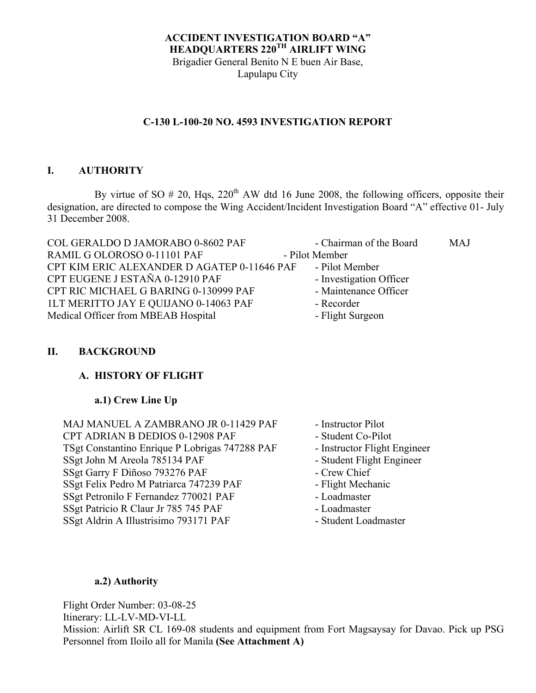## **ACCIDENT INVESTIGATION BOARD "A" HEADQUARTERS 220TH AIRLIFT WING** Brigadier General Benito N E buen Air Base, Lapulapu City

# **C-130 L-100-20 NO. 4593 INVESTIGATION REPORT**

# **I. AUTHORITY**

By virtue of SO  $# 20$ , Hqs,  $220<sup>th</sup>$  AW dtd 16 June 2008, the following officers, opposite their designation, are directed to compose the Wing Accident/Incident Investigation Board "A" effective 01- July 31 December 2008.

| COL GERALDO D JAMORABO 0-8602 PAF                          | - Chairman of the Board | <b>MAJ</b> |
|------------------------------------------------------------|-------------------------|------------|
| RAMIL G OLOROSO 0-11101 PAF                                | - Pilot Member          |            |
| CPT KIM ERIC ALEXANDER D AGATEP 0-11646 PAF - Pilot Member |                         |            |
| CPT EUGENE J ESTAÑA 0-12910 PAF                            | - Investigation Officer |            |
| CPT RIC MICHAEL G BARING 0-130999 PAF                      | - Maintenance Officer   |            |
| 1LT MERITTO JAY E QUIJANO 0-14063 PAF                      | - Recorder              |            |
| Medical Officer from MBEAB Hospital                        | - Flight Surgeon        |            |

## **II. BACKGROUND**

# **A. HISTORY OF FLIGHT**

# **a.1) Crew Line Up**

MAJ MANUEL A ZAMBRANO JR 0-11429 PAF - Instructor Pilot CPT ADRIAN B DEDIOS 0-12908 PAF - Student Co-Pilot TSgt Constantino Enrique P Lobrigas 747288 PAF - Instructor Flight Engineer SSgt John M Areola 785134 PAF - Student Flight Engineer SSgt Garry F Diñoso 793276 PAF - Crew Chief SSgt Felix Pedro M Patriarca 747239 PAF - Flight Mechanic SSgt Petronilo F Fernandez 770021 PAF - Loadmaster SSgt Patricio R Claur Jr 785 745 PAF - Loadmaster SSgt Aldrin A Illustrisimo 793171 PAF - Student Loadmaster

- 
- 
- 
- 
- 
- 
- 
- 
- 

# **a.2) Authority**

Flight Order Number: 03-08-25

Itinerary: LL-LV-MD-VI-LL

Mission: Airlift SR CL 169-08 students and equipment from Fort Magsaysay for Davao. Pick up PSG Personnel from Iloilo all for Manila **(See Attachment A)**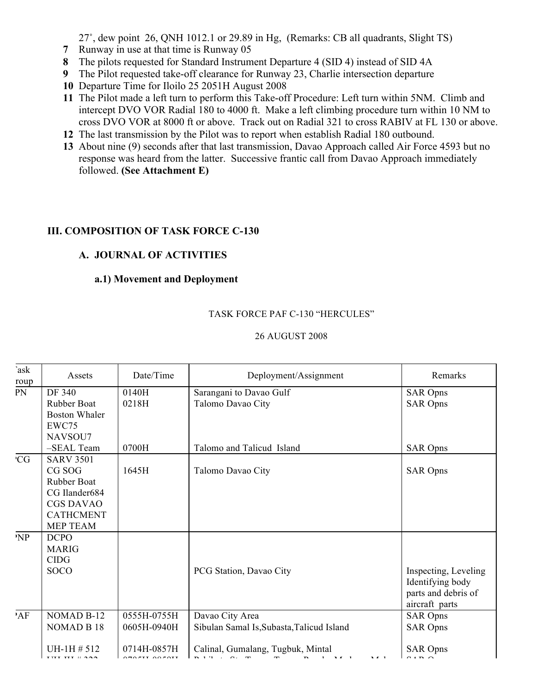27˚, dew point 26, QNH 1012.1 or 29.89 in Hg, (Remarks: CB all quadrants, Slight TS)

- **7** Runway in use at that time is Runway 05
- **8** The pilots requested for Standard Instrument Departure 4 (SID 4) instead of SID 4A
- **9** The Pilot requested take-off clearance for Runway 23, Charlie intersection departure
- **10** Departure Time for Iloilo 25 2051H August 2008
- **11** The Pilot made a left turn to perform this Take-off Procedure: Left turn within 5NM. Climb and intercept DVO VOR Radial 180 to 4000 ft. Make a left climbing procedure turn within 10 NM to cross DVO VOR at 8000 ft or above. Track out on Radial 321 to cross RABIV at FL 130 or above.
- **12** The last transmission by the Pilot was to report when establish Radial 180 outbound.
- **13** About nine (9) seconds after that last transmission, Davao Approach called Air Force 4593 but no response was heard from the latter. Successive frantic call from Davao Approach immediately followed. **(See Attachment E)**

# **III. COMPOSITION OF TASK FORCE C-130**

# **A. JOURNAL OF ACTIVITIES**

# **a.1) Movement and Deployment**

# TASK FORCE PAF C-130 "HERCULES"

| `ask<br>roup | Assets                                                                                                                       | Date/Time      | Deployment/Assignment                        | Remarks                                                                           |
|--------------|------------------------------------------------------------------------------------------------------------------------------|----------------|----------------------------------------------|-----------------------------------------------------------------------------------|
| PN           | DF 340<br><b>Rubber Boat</b><br><b>Boston Whaler</b><br>EWC75<br>NAVSOU7                                                     | 0140H<br>0218H | Sarangani to Davao Gulf<br>Talomo Davao City | <b>SAR Opns</b><br><b>SAR Opns</b>                                                |
|              | -SEAL Team                                                                                                                   | 0700H          | Talomo and Talicud Island                    | <b>SAR Opns</b>                                                                   |
| <b>CG</b>    | <b>SARV 3501</b><br>CG SOG<br><b>Rubber Boat</b><br>CG Ilander684<br><b>CGS DAVAO</b><br><b>CATHCMENT</b><br><b>MEP TEAM</b> | 1645H          | Talomo Davao City                            | <b>SAR Opns</b>                                                                   |
| 'NP          | <b>DCPO</b><br><b>MARIG</b><br><b>CIDG</b><br><b>SOCO</b>                                                                    |                | PCG Station, Davao City                      | Inspecting, Leveling<br>Identifying body<br>parts and debris of<br>aircraft parts |
| 'AF          | NOMAD B-12                                                                                                                   | 0555H-0755H    | Davao City Area                              | <b>SAR Opns</b>                                                                   |
|              | NOMAD B 18                                                                                                                   | 0605H-0940H    | Sibulan Samal Is, Subasta, Talicud Island    | <b>SAR Opns</b>                                                                   |
|              | $UH-1H \# 512$                                                                                                               | 0714H-0857H    | Calinal, Gumalang, Tugbuk, Mintal            | <b>SAR Opns</b><br>$\alpha$ in $\alpha$                                           |

# 26 AUGUST 2008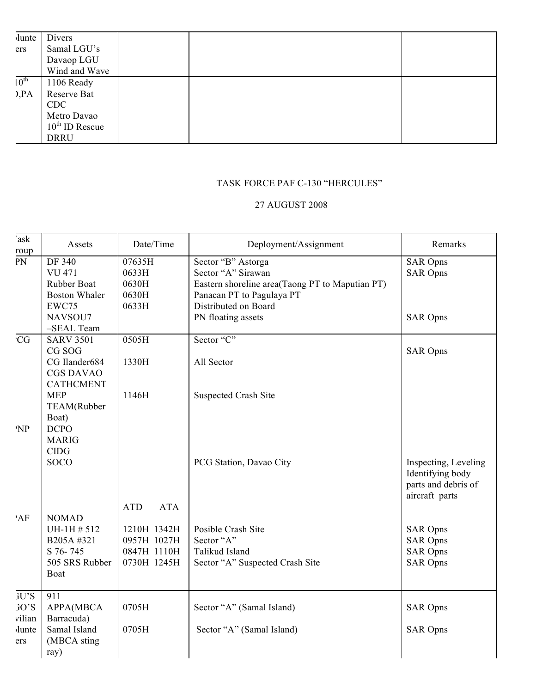| <i>i</i> lunte   | Divers                     |  |  |
|------------------|----------------------------|--|--|
| ers              | Samal LGU's                |  |  |
|                  | Davaop LGU                 |  |  |
|                  | Wind and Wave              |  |  |
| $10^{\text{th}}$ | 1106 Ready                 |  |  |
| D, PA            | Reserve Bat                |  |  |
|                  | <b>CDC</b>                 |  |  |
|                  | Metro Davao                |  |  |
|                  | $10^{\text{th}}$ ID Rescue |  |  |
|                  | <b>DRRU</b>                |  |  |
|                  |                            |  |  |

# TASK FORCE PAF C-130 "HERCULES"

## 27 AUGUST 2008

| `ask<br>roup                                    | Assets                                                                              | Date/Time                                                                            | Deployment/Assignment                                                                                                                            | Remarks                                                                           |
|-------------------------------------------------|-------------------------------------------------------------------------------------|--------------------------------------------------------------------------------------|--------------------------------------------------------------------------------------------------------------------------------------------------|-----------------------------------------------------------------------------------|
| PN                                              | DF 340<br><b>VU 471</b><br>Rubber Boat<br><b>Boston Whaler</b><br>EWC75             | 07635H<br>0633H<br>0630H<br>0630H<br>0633H                                           | Sector "B" Astorga<br>Sector "A" Sirawan<br>Eastern shoreline area(Taong PT to Maputian PT)<br>Panacan PT to Pagulaya PT<br>Distributed on Board | <b>SAR Opns</b><br><b>SAR Opns</b>                                                |
|                                                 | NAVSOU7<br>-SEAL Team                                                               |                                                                                      | PN floating assets                                                                                                                               | <b>SAR Opns</b>                                                                   |
| 'CG                                             | <b>SARV 3501</b><br>CG SOG<br>CG Ilander684<br><b>CGS DAVAO</b><br><b>CATHCMENT</b> | 0505H<br>1330H                                                                       | Sector "C"<br>All Sector                                                                                                                         | <b>SAR Opns</b>                                                                   |
|                                                 | <b>MEP</b><br>TEAM(Rubber<br>Boat)                                                  | 1146H                                                                                | <b>Suspected Crash Site</b>                                                                                                                      |                                                                                   |
| NP                                              | <b>DCPO</b><br><b>MARIG</b><br><b>CIDG</b><br><b>SOCO</b>                           |                                                                                      | PCG Station, Davao City                                                                                                                          | Inspecting, Leveling<br>Identifying body<br>parts and debris of<br>aircraft parts |
| 'AF                                             | <b>NOMAD</b><br>UH-1H # 512<br>B205A #321<br>S 76-745<br>505 SRS Rubber<br>Boat     | <b>ATA</b><br><b>ATD</b><br>1210H 1342H<br>0957H 1027H<br>0847H 1110H<br>0730H 1245H | Posible Crash Site<br>Sector "A"<br>Talikud Island<br>Sector "A" Suspected Crash Site                                                            | <b>SAR Opns</b><br><b>SAR Opns</b><br><b>SAR Opns</b><br><b>SAR Opns</b>          |
| JU'S<br>$30^{\circ}S$<br>vilian<br>lunte<br>ers | 911<br>APPA(MBCA<br>Barracuda)<br>Samal Island<br>(MBCA sting<br>ray)               | 0705H<br>0705H                                                                       | Sector "A" (Samal Island)<br>Sector "A" (Samal Island)                                                                                           | <b>SAR Opns</b><br><b>SAR Opns</b>                                                |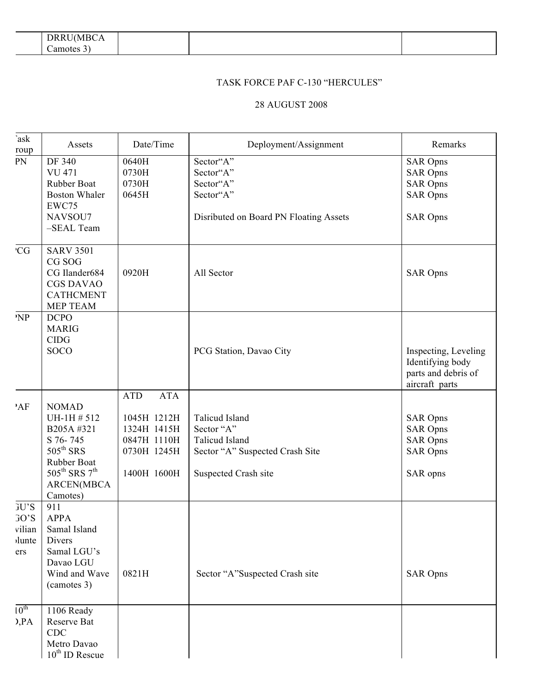| -<br>.<br>---<br>$\mathbf{B}$<br>או<br>'NH.<br><b>DITI</b> |  |  |
|------------------------------------------------------------|--|--|
| 'am<br>t o 1<br>າດາເ                                       |  |  |

## TASK FORCE PAF C-130 "HERCULES"

#### 28 AUGUST 2008

| `ask<br>roup                                            | Assets                                                                                                                                                                 | Date/Time                                                                                           | Deployment/Assignment                                                                                     | Remarks                                                                                     |
|---------------------------------------------------------|------------------------------------------------------------------------------------------------------------------------------------------------------------------------|-----------------------------------------------------------------------------------------------------|-----------------------------------------------------------------------------------------------------------|---------------------------------------------------------------------------------------------|
| PN                                                      | DF 340<br><b>VU 471</b><br>Rubber Boat<br><b>Boston Whaler</b><br>EWC75<br>NAVSOU7<br>-SEAL Team                                                                       | 0640H<br>0730H<br>0730H<br>0645H                                                                    | Sector"A"<br>Sector"A"<br>Sector"A"<br>Sector"A"<br>Disributed on Board PN Floating Assets                | <b>SAR Opns</b><br><b>SAR Opns</b><br><b>SAR Opns</b><br><b>SAR Opns</b><br><b>SAR Opns</b> |
| 'CG                                                     | <b>SARV 3501</b><br>CG SOG<br>CG Ilander684<br><b>CGS DAVAO</b><br><b>CATHCMENT</b><br>MEP TEAM                                                                        | 0920H                                                                                               | All Sector                                                                                                | <b>SAR Opns</b>                                                                             |
| 'NP                                                     | <b>DCPO</b><br><b>MARIG</b><br><b>CIDG</b><br><b>SOCO</b>                                                                                                              |                                                                                                     | PCG Station, Davao City                                                                                   | Inspecting, Leveling<br>Identifying body<br>parts and debris of<br>aircraft parts           |
| 'AF                                                     | <b>NOMAD</b><br>UH-1H # 512<br>B205A#321<br>S 76-745<br>$505^{\text{th}}$ SRS<br>Rubber Boat<br>$505^{\text{th}}$ SRS $7^{\text{th}}$<br><b>ARCEN(MBCA</b><br>Camotes) | <b>ATA</b><br><b>ATD</b><br>1045H 1212H<br>1324H 1415H<br>0847H 1110H<br>0730H 1245H<br>1400H 1600H | Talicud Island<br>Sector "A"<br>Talicud Island<br>Sector "A" Suspected Crash Site<br>Suspected Crash site | <b>SAR Opns</b><br><b>SAR Opns</b><br><b>SAR Opns</b><br><b>SAR Opns</b><br>SAR opns        |
| GU'S<br>$30^{\circ}S$<br>vilian<br><i>d</i> unte<br>ers | 911<br><b>APPA</b><br>Samal Island<br>Divers<br>Samal LGU's<br>Davao LGU<br>Wind and Wave<br>(camotes 3)                                                               | 0821H                                                                                               | Sector "A"Suspected Crash site                                                                            | <b>SAR Opns</b>                                                                             |
| $10^{\text{th}}$<br>D, PA                               | 1106 Ready<br>Reserve Bat<br><b>CDC</b><br>Metro Davao<br>$10^{th}$ ID Rescue                                                                                          |                                                                                                     |                                                                                                           |                                                                                             |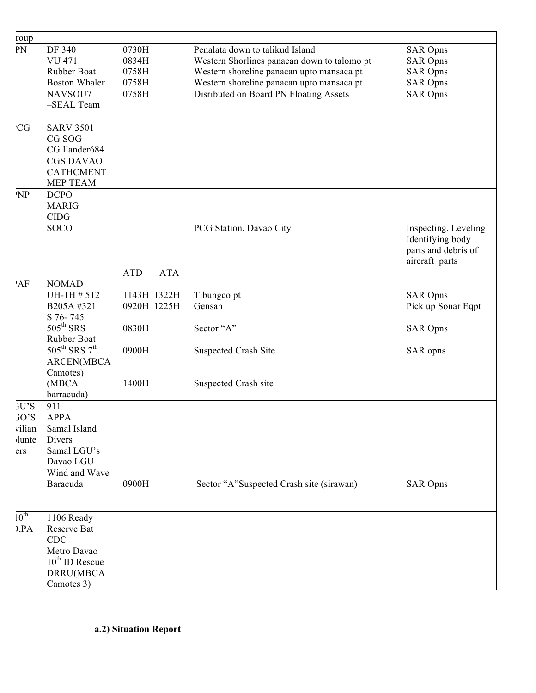| roup                                           |                                                                                                                                                                                               |                                                                                   |                                                                                                                                                                                                                    |                                                                                             |
|------------------------------------------------|-----------------------------------------------------------------------------------------------------------------------------------------------------------------------------------------------|-----------------------------------------------------------------------------------|--------------------------------------------------------------------------------------------------------------------------------------------------------------------------------------------------------------------|---------------------------------------------------------------------------------------------|
| PN                                             | DF 340<br><b>VU 471</b><br>Rubber Boat<br><b>Boston Whaler</b><br>NAVSOU7<br>-SEAL Team                                                                                                       | 0730H<br>0834H<br>0758H<br>0758H<br>0758H                                         | Penalata down to talikud Island<br>Western Shorlines panacan down to talomo pt<br>Western shoreline panacan upto mansaca pt<br>Western shoreline panacan upto mansaca pt<br>Disributed on Board PN Floating Assets | <b>SAR Opns</b><br><b>SAR Opns</b><br><b>SAR Opns</b><br><b>SAR Opns</b><br><b>SAR Opns</b> |
| <b>CG</b>                                      | <b>SARV 3501</b><br>CG SOG<br>CG Ilander684<br><b>CGS DAVAO</b><br><b>CATHCMENT</b><br>MEP TEAM                                                                                               |                                                                                   |                                                                                                                                                                                                                    |                                                                                             |
| NP                                             | <b>DCPO</b><br><b>MARIG</b><br><b>CIDG</b><br><b>SOCO</b>                                                                                                                                     |                                                                                   | PCG Station, Davao City                                                                                                                                                                                            | Inspecting, Leveling<br>Identifying body<br>parts and debris of<br>aircraft parts           |
| 'AF                                            | <b>NOMAD</b><br>UH-1H # 512<br>B205A#321<br>S 76-745<br>$505^{\text{th}}$ SRS<br>Rubber Boat<br>$505^{\text{th}}$ SRS $7^{\text{th}}$<br><b>ARCEN(MBCA</b><br>Camotes)<br>(MBCA<br>barracuda) | <b>ATD</b><br><b>ATA</b><br>1143H 1322H<br>0920H 1225H<br>0830H<br>0900H<br>1400H | Tibungco pt<br>Gensan<br>Sector "A"<br><b>Suspected Crash Site</b><br>Suspected Crash site                                                                                                                         | <b>SAR Opns</b><br>Pick up Sonar Eqpt<br><b>SAR Opns</b><br>SAR opns                        |
| GU'S<br>GO'S<br>vilian<br><i>d</i> unte<br>ers | 911<br><b>APPA</b><br>Samal Island<br><b>Divers</b><br>Samal LGU's<br>Davao LGU<br>Wind and Wave<br>Baracuda                                                                                  | 0900H                                                                             | Sector "A"Suspected Crash site (sirawan)                                                                                                                                                                           | <b>SAR Opns</b>                                                                             |
| $10^{th}$<br>Q, PA                             | 1106 Ready<br>Reserve Bat<br>CDC<br>Metro Davao<br>$10^{th}$ ID Rescue<br>DRRU(MBCA<br>Camotes 3)                                                                                             |                                                                                   |                                                                                                                                                                                                                    |                                                                                             |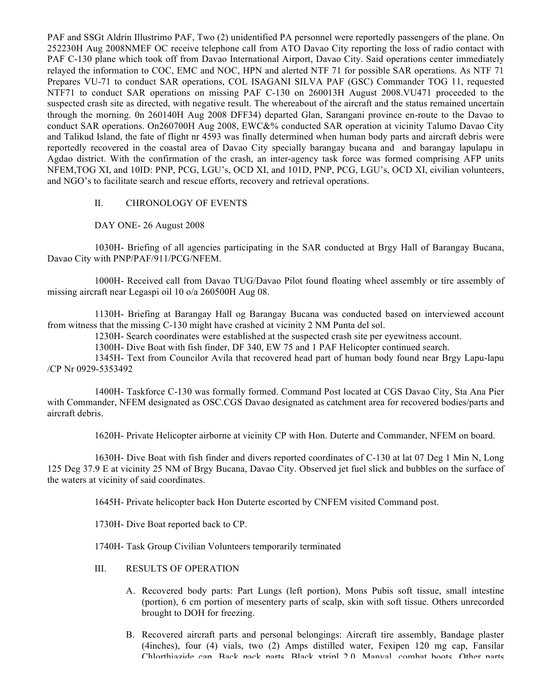PAF and SSGt Aldrin Illustrimo PAF, Two (2) unidentified PA personnel were reportedly passengers of the plane. On 252230H Aug 2008NMEF OC receive telephone call from ATO Davao City reporting the loss of radio contact with PAF C-130 plane which took off from Davao International Airport, Davao City. Said operations center immediately relayed the information to COC, EMC and NOC, HPN and alerted NTF 71 for possible SAR operations. As NTF 71 Prepares VU-71 to conduct SAR operations, COL ISAGANI SILVA PAF (GSC) Commander TOG 11, requested NTF71 to conduct SAR operations on missing PAF C-130 on 260013H August 2008.VU471 proceeded to the suspected crash site as directed, with negative result. The whereabout of the aircraft and the status remained uncertain through the morning. 0n 260140H Aug 2008 DFF34) departed Glan, Sarangani province en-route to the Davao to conduct SAR operations. On260700H Aug 2008, EWC&% conducted SAR operation at vicinity Talumo Davao City and Talikud Island, the fate of flight nr 4593 was finally determined when human body parts and aircraft debris were reportedly recovered in the coastal area of Davao City specially barangay bucana and and barangay lapulapu in Agdao district. With the confirmation of the crash, an inter-agency task force was formed comprising AFP units NFEM,TOG XI, and 10ID: PNP, PCG, LGU's, OCD XI, and 101D, PNP, PCG, LGU's, OCD XI, civilian volunteers, and NGO's to facilitate search and rescue efforts, recovery and retrieval operations.

#### II. CHRONOLOGY OF EVENTS

DAY ONE- 26 August 2008

1030H- Briefing of all agencies participating in the SAR conducted at Brgy Hall of Barangay Bucana, Davao City with PNP/PAF/911/PCG/NFEM.

1000H- Received call from Davao TUG/Davao Pilot found floating wheel assembly or tire assembly of missing aircraft near Legaspi oil 10 o/a 260500H Aug 08.

1130H- Briefing at Barangay Hall og Barangay Bucana was conducted based on interviewed account from witness that the missing C-130 might have crashed at vicinity 2 NM Punta del sol.

1230H- Search coordinates were established at the suspected crash site per eyewitness account.

1300H- Dive Boat with fish finder, DF 340, EW 75 and 1 PAF Helicopter continued search.

1345H- Text from Councilor Avila that recovered head part of human body found near Brgy Lapu-lapu /CP Nr 0929-5353492

1400H- Taskforce C-130 was formally formed. Command Post located at CGS Davao City, Sta Ana Pier with Commander, NFEM designated as OSC.CGS Davao designated as catchment area for recovered bodies/parts and aircraft debris.

1620H- Private Helicopter airborne at vicinity CP with Hon. Duterte and Commander, NFEM on board.

1630H- Dive Boat with fish finder and divers reported coordinates of C-130 at lat 07 Deg 1 Min N, Long 125 Deg 37.9 E at vicinity 25 NM of Brgy Bucana, Davao City. Observed jet fuel slick and bubbles on the surface of the waters at vicinity of said coordinates.

1645H- Private helicopter back Hon Duterte escorted by CNFEM visited Command post.

1730H- Dive Boat reported back to CP.

1740H- Task Group Civilian Volunteers temporarily terminated

- III. RESULTS OF OPERATION
	- A. Recovered body parts: Part Lungs (left portion), Mons Pubis soft tissue, small intestine (portion), 6 cm portion of mesentery parts of scalp, skin with soft tissue. Others unrecorded brought to DOH for freezing.
	- B. Recovered aircraft parts and personal belongings: Aircraft tire assembly, Bandage plaster (4inches), four (4) vials, two (2) Amps distilled water, Fexipen 120 mg cap, Fansilar Chlorthiazide can, Back pack parts, Black ytripl 2.0, Manyal, combat boots. Other parts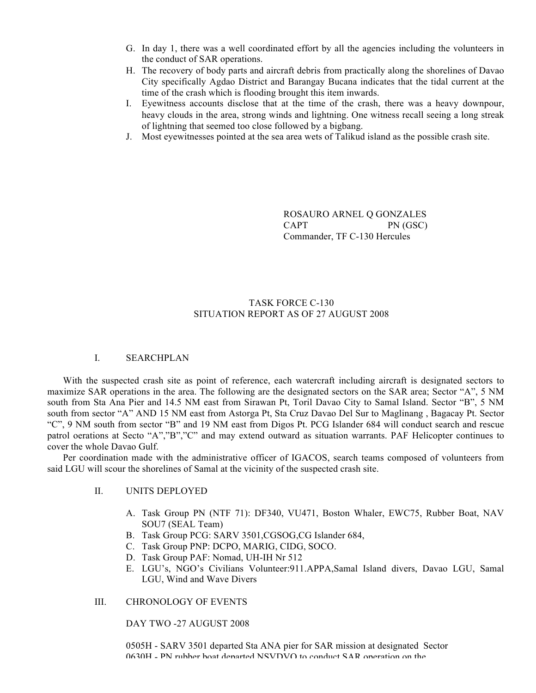- G. In day 1, there was a well coordinated effort by all the agencies including the volunteers in the conduct of SAR operations.
- H. The recovery of body parts and aircraft debris from practically along the shorelines of Davao City specifically Agdao District and Barangay Bucana indicates that the tidal current at the time of the crash which is flooding brought this item inwards.
- I. Eyewitness accounts disclose that at the time of the crash, there was a heavy downpour, heavy clouds in the area, strong winds and lightning. One witness recall seeing a long streak of lightning that seemed too close followed by a bigbang.
- J. Most eyewitnesses pointed at the sea area wets of Talikud island as the possible crash site.

ROSAURO ARNEL Q GONZALES CAPT PN (GSC) Commander, TF C-130 Hercules

#### TASK FORCE C-130 SITUATION REPORT AS OF 27 AUGUST 2008

#### I. SEARCHPLAN

With the suspected crash site as point of reference, each watercraft including aircraft is designated sectors to maximize SAR operations in the area. The following are the designated sectors on the SAR area; Sector "A", 5 NM south from Sta Ana Pier and 14.5 NM east from Sirawan Pt, Toril Davao City to Samal Island. Sector "B", 5 NM south from sector "A" AND 15 NM east from Astorga Pt, Sta Cruz Davao Del Sur to Maglinang , Bagacay Pt. Sector "C", 9 NM south from sector "B" and 19 NM east from Digos Pt. PCG Islander 684 will conduct search and rescue patrol oerations at Secto "A","B","C" and may extend outward as situation warrants. PAF Helicopter continues to cover the whole Davao Gulf.

Per coordination made with the administrative officer of IGACOS, search teams composed of volunteers from said LGU will scour the shorelines of Samal at the vicinity of the suspected crash site.

#### II. UNITS DEPLOYED

- A. Task Group PN (NTF 71): DF340, VU471, Boston Whaler, EWC75, Rubber Boat, NAV SOU7 (SEAL Team)
- B. Task Group PCG: SARV 3501,CGSOG,CG Islander 684,
- C. Task Group PNP: DCPO, MARIG, CIDG, SOCO.
- D. Task Group PAF: Nomad, UH-IH Nr 512
- E. LGU's, NGO's Civilians Volunteer:911.APPA,Samal Island divers, Davao LGU, Samal LGU, Wind and Wave Divers

#### III. CHRONOLOGY OF EVENTS

#### DAY TWO -27 AUGUST 2008

0505H - SARV 3501 departed Sta ANA pier for SAR mission at designated Sector 0630H - PN rubber boat departed NSVDVO to conduct SAR operation on the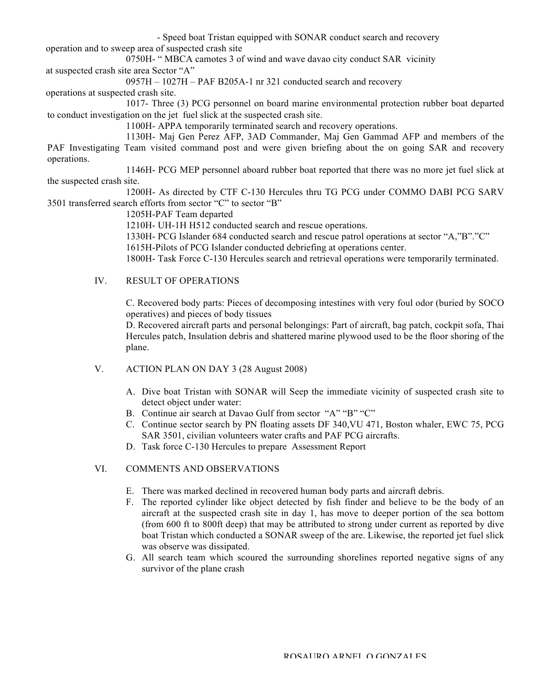- Speed boat Tristan equipped with SONAR conduct search and recovery operation and to sweep area of suspected crash site

0750H- " MBCA camotes 3 of wind and wave davao city conduct SAR vicinity at suspected crash site area Sector "A"

0957H – 1027H – PAF B205A-1 nr 321 conducted search and recovery

operations at suspected crash site.

1017- Three (3) PCG personnel on board marine environmental protection rubber boat departed to conduct investigation on the jet fuel slick at the suspected crash site.

1100H- APPA temporarily terminated search and recovery operations.

1130H- Maj Gen Perez AFP, 3AD Commander, Maj Gen Gammad AFP and members of the PAF Investigating Team visited command post and were given briefing about the on going SAR and recovery operations.

1146H- PCG MEP personnel aboard rubber boat reported that there was no more jet fuel slick at the suspected crash site.

1200H- As directed by CTF C-130 Hercules thru TG PCG under COMMO DABI PCG SARV 3501 transferred search efforts from sector "C" to sector "B"

1205H-PAF Team departed

1210H- UH-1H H512 conducted search and rescue operations.

1330H- PCG Islander 684 conducted search and rescue patrol operations at sector "A,"B"."C"

1615H-Pilots of PCG Islander conducted debriefing at operations center.

1800H- Task Force C-130 Hercules search and retrieval operations were temporarily terminated.

#### IV. RESULT OF OPERATIONS

C. Recovered body parts: Pieces of decomposing intestines with very foul odor (buried by SOCO operatives) and pieces of body tissues

D. Recovered aircraft parts and personal belongings: Part of aircraft, bag patch, cockpit sofa, Thai Hercules patch, Insulation debris and shattered marine plywood used to be the floor shoring of the plane.

- V. ACTION PLAN ON DAY 3 (28 August 2008)
	- A. Dive boat Tristan with SONAR will Seep the immediate vicinity of suspected crash site to detect object under water:
	- B. Continue air search at Davao Gulf from sector "A" "B" "C"
	- C. Continue sector search by PN floating assets DF 340,VU 471, Boston whaler, EWC 75, PCG SAR 3501, civilian volunteers water crafts and PAF PCG aircrafts.
	- D. Task force C-130 Hercules to prepare Assessment Report

#### VI. COMMENTS AND OBSERVATIONS

- E. There was marked declined in recovered human body parts and aircraft debris.
- F. The reported cylinder like object detected by fish finder and believe to be the body of an aircraft at the suspected crash site in day 1, has move to deeper portion of the sea bottom (from 600 ft to 800ft deep) that may be attributed to strong under current as reported by dive boat Tristan which conducted a SONAR sweep of the are. Likewise, the reported jet fuel slick was observe was dissipated.
- G. All search team which scoured the surrounding shorelines reported negative signs of any survivor of the plane crash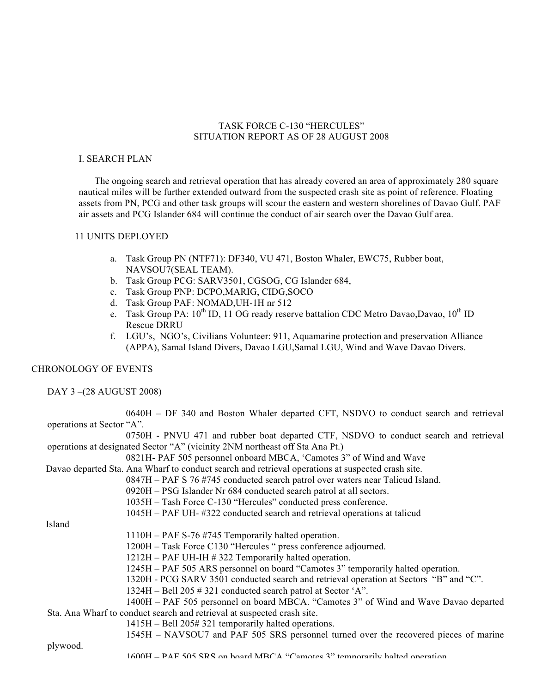#### TASK FORCE C-130 "HERCULES" SITUATION REPORT AS OF 28 AUGUST 2008

#### I. SEARCH PLAN

 The ongoing search and retrieval operation that has already covered an area of approximately 280 square nautical miles will be further extended outward from the suspected crash site as point of reference. Floating assets from PN, PCG and other task groups will scour the eastern and western shorelines of Davao Gulf. PAF air assets and PCG Islander 684 will continue the conduct of air search over the Davao Gulf area.

#### 11 UNITS DEPLOYED

- a. Task Group PN (NTF71): DF340, VU 471, Boston Whaler, EWC75, Rubber boat, NAVSOU7(SEAL TEAM).
- b. Task Group PCG: SARV3501, CGSOG, CG Islander 684,
- c. Task Group PNP: DCPO,MARIG, CIDG,SOCO
- d. Task Group PAF: NOMAD,UH-1H nr 512
- e. Task Group PA:  $10^{th}$  ID, 11 OG ready reserve battalion CDC Metro Davao, Davao,  $10^{th}$  ID Rescue DRRU
- f. LGU's, NGO's, Civilians Volunteer: 911, Aquamarine protection and preservation Alliance (APPA), Samal Island Divers, Davao LGU,Samal LGU, Wind and Wave Davao Divers.

#### CHRONOLOGY OF EVENTS

DAY 3 –(28 AUGUST 2008)

| 0640H – DF 340 and Boston Whaler departed CFT, NSDVO to conduct search and retrieval              |  |
|---------------------------------------------------------------------------------------------------|--|
|                                                                                                   |  |
| operations at Sector "A".                                                                         |  |
| 0750H - PNVU 471 and rubber boat departed CTF, NSDVO to conduct search and retrieval              |  |
| operations at designated Sector "A" (vicinity 2NM northeast off Sta Ana Pt.)                      |  |
| 0821H- PAF 505 personnel onboard MBCA, 'Camotes 3" of Wind and Wave                               |  |
| Davao departed Sta. Ana Wharf to conduct search and retrieval operations at suspected crash site. |  |
| 0847H – PAF S 76 #745 conducted search patrol over waters near Talicud Island.                    |  |
| 0920H - PSG Islander Nr 684 conducted search patrol at all sectors.                               |  |
| 1035H – Tash Force C-130 "Hercules" conducted press conference.                                   |  |
| 1045H – PAF UH- #322 conducted search and retrieval operations at talicud                         |  |
| Island                                                                                            |  |
|                                                                                                   |  |
| 1110H – PAF S-76 #745 Temporarily halted operation.                                               |  |
| 1200H – Task Force C130 "Hercules " press conference adjourned.                                   |  |
| 1212H – PAF UH-IH # 322 Temporarily halted operation.                                             |  |
| 1245H – PAF 505 ARS personnel on board "Camotes 3" temporarily halted operation.                  |  |
| 1320H - PCG SARV 3501 conducted search and retrieval operation at Sectors "B" and "C".            |  |
| 1324H – Bell 205 # 321 conducted search patrol at Sector 'A".                                     |  |
| 1400H – PAF 505 personnel on board MBCA. "Camotes 3" of Wind and Wave Davao departed              |  |
| Sta. Ana Wharf to conduct search and retrieval at suspected crash site.                           |  |
|                                                                                                   |  |
| 1415H – Bell 205#321 temporarily halted operations.                                               |  |
| 1545H - NAVSOU7 and PAF 505 SRS personnel turned over the recovered pieces of marine              |  |
| plywood.                                                                                          |  |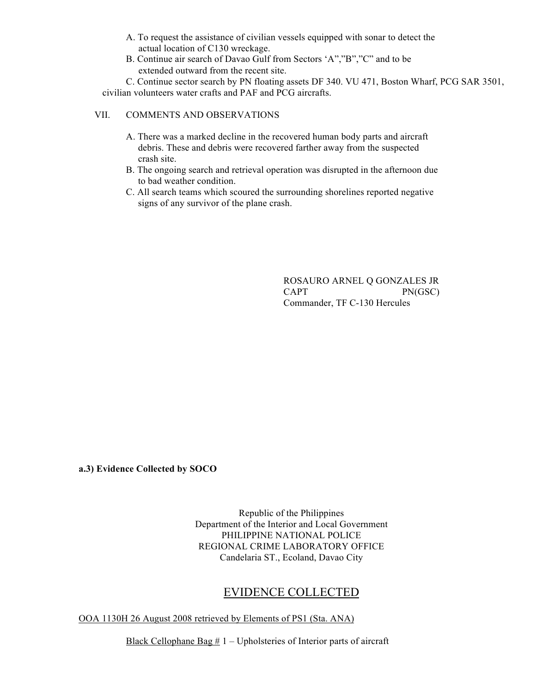- A. To request the assistance of civilian vessels equipped with sonar to detect the actual location of C130 wreckage.
- B. Continue air search of Davao Gulf from Sectors 'A","B","C" and to be extended outward from the recent site.

C. Continue sector search by PN floating assets DF 340. VU 471, Boston Wharf, PCG SAR 3501, civilian volunteers water crafts and PAF and PCG aircrafts.

#### VII. COMMENTS AND OBSERVATIONS

- A. There was a marked decline in the recovered human body parts and aircraft debris. These and debris were recovered farther away from the suspected crash site.
- B. The ongoing search and retrieval operation was disrupted in the afternoon due to bad weather condition.
- C. All search teams which scoured the surrounding shorelines reported negative signs of any survivor of the plane crash.

ROSAURO ARNEL Q GONZALES JR CAPT PN(GSC) Commander, TF C-130 Hercules

**a.3) Evidence Collected by SOCO** 

Republic of the Philippines Department of the Interior and Local Government PHILIPPINE NATIONAL POLICE REGIONAL CRIME LABORATORY OFFICE Candelaria ST., Ecoland, Davao City

# EVIDENCE COLLECTED

OOA 1130H 26 August 2008 retrieved by Elements of PS1 (Sta. ANA)

Black Cellophane Bag  $# 1 -$ Upholsteries of Interior parts of aircraft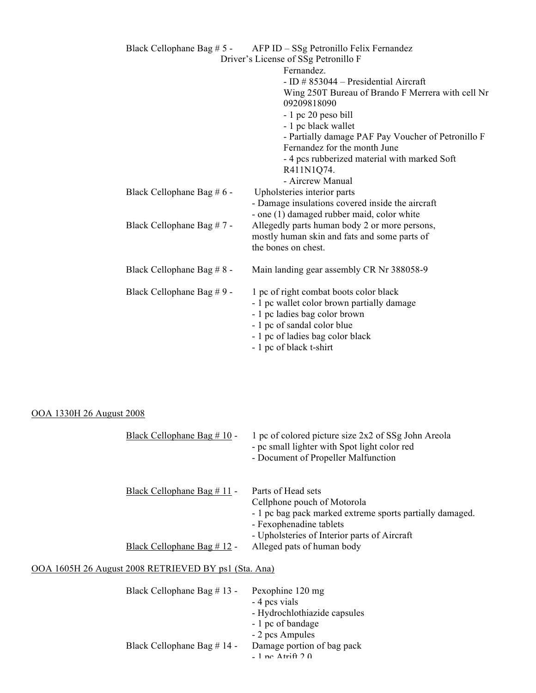|                            | Black Cellophane Bag # 5 - AFP ID - SSg Petronillo Felix Fernandez |
|----------------------------|--------------------------------------------------------------------|
|                            | Driver's License of SSg Petronillo F                               |
|                            | Fernandez.                                                         |
|                            | - ID $\#$ 853044 – Presidential Aircraft                           |
|                            | Wing 250T Bureau of Brando F Merrera with cell Nr                  |
|                            | 09209818090                                                        |
|                            | - 1 pc 20 peso bill                                                |
|                            | - 1 pc black wallet                                                |
|                            | - Partially damage PAF Pay Voucher of Petronillo F                 |
|                            | Fernandez for the month June                                       |
|                            | - 4 pcs rubberized material with marked Soft                       |
|                            | R411N1Q74.                                                         |
|                            | - Aircrew Manual                                                   |
| Black Cellophane Bag # 6 - | Upholsteries interior parts                                        |
|                            | - Damage insulations covered inside the aircraft                   |
|                            | - one (1) damaged rubber maid, color white                         |
| Black Cellophane Bag # 7 - | Allegedly parts human body 2 or more persons,                      |
|                            | mostly human skin and fats and some parts of                       |
|                            | the bones on chest.                                                |
| Black Cellophane Bag # 8 - | Main landing gear assembly CR Nr 388058-9                          |
| Black Cellophane Bag #9 -  | 1 pc of right combat boots color black                             |
|                            | - 1 pc wallet color brown partially damage                         |
|                            | - 1 pc ladies bag color brown                                      |
|                            | - 1 pc of sandal color blue                                        |
|                            | - 1 pc of ladies bag color black                                   |
|                            | - 1 pc of black t-shirt                                            |

# OOA 1330H 26 August 2008

| Black Cellophane Bag # 10 -                          | 1 pc of colored picture size 2x2 of SSg John Areola<br>- pc small lighter with Spot light color red<br>- Document of Propeller Malfunction                                               |
|------------------------------------------------------|------------------------------------------------------------------------------------------------------------------------------------------------------------------------------------------|
| Black Cellophane Bag # 11 -                          | Parts of Head sets<br>Cellphone pouch of Motorola<br>- 1 pc bag pack marked extreme sports partially damaged.<br>- Fexophenadine tablets<br>- Upholsteries of Interior parts of Aircraft |
| Black Cellophane Bag $# 12 -$                        | Alleged pats of human body                                                                                                                                                               |
| OOA 1605H 26 August 2008 RETRIEVED BY ps1 (Sta. Ana) |                                                                                                                                                                                          |
| Black Cellophane Bag # 13 -                          | Pexophine 120 mg<br>- 4 pcs vials<br>- Hydrochlothiazide capsules<br>- 1 pc of bandage<br>- 2 pcs Ampules                                                                                |

Black Cellophane Bag # 14 - Damage portion of bag pack

 $-$  1 no.  $\Delta$ trift 2.0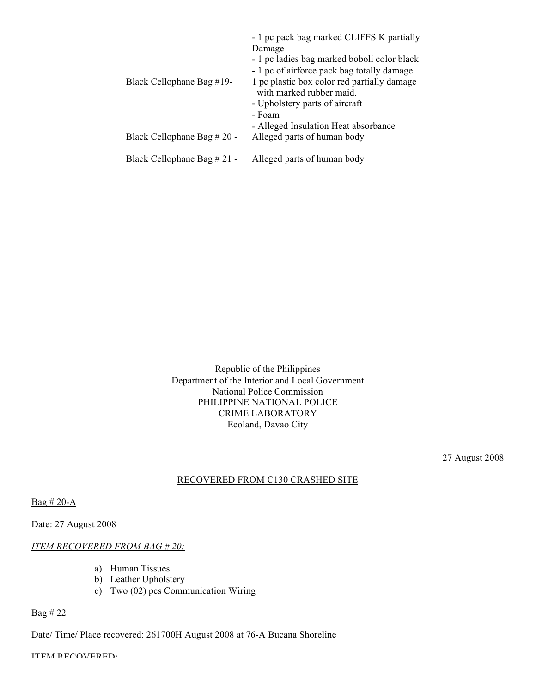| Black Cellophane Bag #19-   | - 1 pc pack bag marked CLIFFS K partially<br>Damage<br>- 1 pc ladies bag marked boboli color black<br>- 1 pc of airforce pack bag totally damage<br>1 pc plastic box color red partially damage<br>with marked rubber maid.<br>- Upholstery parts of aircraft<br>- Foam<br>- Alleged Insulation Heat absorbance |
|-----------------------------|-----------------------------------------------------------------------------------------------------------------------------------------------------------------------------------------------------------------------------------------------------------------------------------------------------------------|
| Black Cellophane Bag # 20 - | Alleged parts of human body                                                                                                                                                                                                                                                                                     |
| Black Cellophane Bag # 21 - | Alleged parts of human body                                                                                                                                                                                                                                                                                     |

Republic of the Philippines Department of the Interior and Local Government National Police Commission PHILIPPINE NATIONAL POLICE CRIME LABORATORY Ecoland, Davao City

27 August 2008

#### RECOVERED FROM C130 CRASHED SITE

 $Bag # 20-A$ 

Date: 27 August 2008

#### *ITEM RECOVERED FROM BAG # 20:*

- a) Human Tissues
- b) Leather Upholstery
- c) Two (02) pcs Communication Wiring

#### Bag # 22

Date/ Time/ Place recovered: 261700H August 2008 at 76-A Bucana Shoreline

ITEM RECOVERED: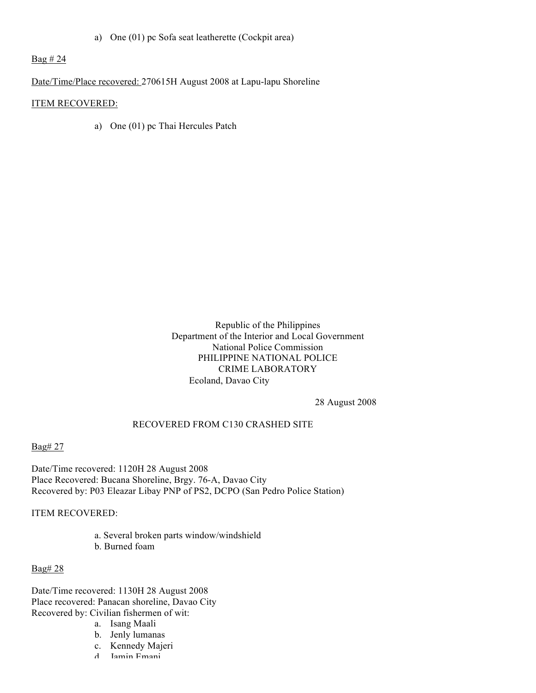a) One (01) pc Sofa seat leatherette (Cockpit area)

Bag # 24

Date/Time/Place recovered: 270615H August 2008 at Lapu-lapu Shoreline

#### ITEM RECOVERED:

a) One (01) pc Thai Hercules Patch

Republic of the Philippines Department of the Interior and Local Government National Police Commission PHILIPPINE NATIONAL POLICE CRIME LABORATORY Ecoland, Davao City

28 August 2008

#### RECOVERED FROM C130 CRASHED SITE

Bag# 27

Date/Time recovered: 1120H 28 August 2008 Place Recovered: Bucana Shoreline, Brgy. 76-A, Davao City Recovered by: P03 Eleazar Libay PNP of PS2, DCPO (San Pedro Police Station)

ITEM RECOVERED:

a. Several broken parts window/windshield b. Burned foam

Bag# 28

Date/Time recovered: 1130H 28 August 2008 Place recovered: Panacan shoreline, Davao City Recovered by: Civilian fishermen of wit:

- a. Isang Maali
- b. Jenly lumanas
- c. Kennedy Majeri
- d. Jamin Emani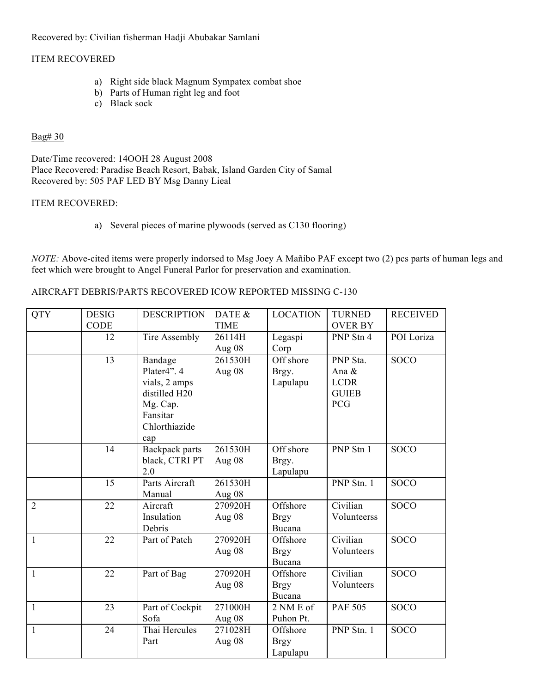Recovered by: Civilian fisherman Hadji Abubakar Samlani

#### ITEM RECOVERED

- a) Right side black Magnum Sympatex combat shoe
- b) Parts of Human right leg and foot
- c) Black sock

#### Bag# 30

Date/Time recovered: 14OOH 28 August 2008 Place Recovered: Paradise Beach Resort, Babak, Island Garden City of Samal Recovered by: 505 PAF LED BY Msg Danny Lieal

#### ITEM RECOVERED:

a) Several pieces of marine plywoods (served as C130 flooring)

*NOTE:* Above-cited items were properly indorsed to Msg Joey A Mañibo PAF except two (2) pcs parts of human legs and feet which were brought to Angel Funeral Parlor for preservation and examination.

#### AIRCRAFT DEBRIS/PARTS RECOVERED ICOW REPORTED MISSING C-130

| <b>QTY</b>     | <b>DESIG</b><br><b>CODE</b> | <b>DESCRIPTION</b> | DATE &<br><b>TIME</b> | <b>LOCATION</b> | <b>TURNED</b><br><b>OVER BY</b> | <b>RECEIVED</b> |
|----------------|-----------------------------|--------------------|-----------------------|-----------------|---------------------------------|-----------------|
|                |                             |                    |                       |                 |                                 |                 |
|                | 12                          | Tire Assembly      | 26114H                | Legaspi         | PNP Stn 4                       | POI Loriza      |
|                |                             |                    | Aug $08$              | Corp            |                                 |                 |
|                | 13                          | Bandage            | 261530H               | Off shore       | PNP Sta.                        | <b>SOCO</b>     |
|                |                             | Plater4". 4        | Aug 08                | Brgy.           | Ana &                           |                 |
|                |                             | vials, 2 amps      |                       | Lapulapu        | <b>LCDR</b>                     |                 |
|                |                             | distilled H20      |                       |                 | <b>GUIEB</b>                    |                 |
|                |                             | Mg. Cap.           |                       |                 | <b>PCG</b>                      |                 |
|                |                             | Fansitar           |                       |                 |                                 |                 |
|                |                             |                    |                       |                 |                                 |                 |
|                |                             | Chlorthiazide      |                       |                 |                                 |                 |
|                |                             | cap                |                       |                 |                                 |                 |
|                | 14                          | Backpack parts     | 261530H               | Off shore       | PNP Stn 1                       | <b>SOCO</b>     |
|                |                             | black, CTRI PT     | Aug 08                | Brgy.           |                                 |                 |
|                |                             | 2.0                |                       | Lapulapu        |                                 |                 |
|                | 15                          | Parts Aircraft     | 261530H               |                 | PNP Stn. 1                      | <b>SOCO</b>     |
|                |                             | Manual             | Aug 08                |                 |                                 |                 |
| $\overline{2}$ | 22                          | Aircraft           | 270920H               | Offshore        | Civilian                        | <b>SOCO</b>     |
|                |                             | Insulation         | Aug 08                | <b>Brgy</b>     | Volunteerss                     |                 |
|                |                             | Debris             |                       | Bucana          |                                 |                 |
| $\mathbf{1}$   | 22                          | Part of Patch      | 270920H               | Offshore        | Civilian                        | <b>SOCO</b>     |
|                |                             |                    | Aug 08                | <b>Brgy</b>     | Volunteers                      |                 |
|                |                             |                    |                       | Bucana          |                                 |                 |
| 1              | 22                          | Part of Bag        | 270920H               | Offshore        | Civilian                        | <b>SOCO</b>     |
|                |                             |                    | Aug 08                | <b>Brgy</b>     | Volunteers                      |                 |
|                |                             |                    |                       | Bucana          |                                 |                 |
| $\mathbf{1}$   | 23                          | Part of Cockpit    | 271000H               | 2 NM E of       | <b>PAF 505</b>                  | <b>SOCO</b>     |
|                |                             | Sofa               | Aug $08$              | Puhon Pt.       |                                 |                 |
| 1              | 24                          | Thai Hercules      | 271028H               | Offshore        | PNP Stn. 1                      | <b>SOCO</b>     |
|                |                             | Part               | Aug 08                | <b>Brgy</b>     |                                 |                 |
|                |                             |                    |                       | Lapulapu        |                                 |                 |
|                |                             |                    |                       |                 |                                 |                 |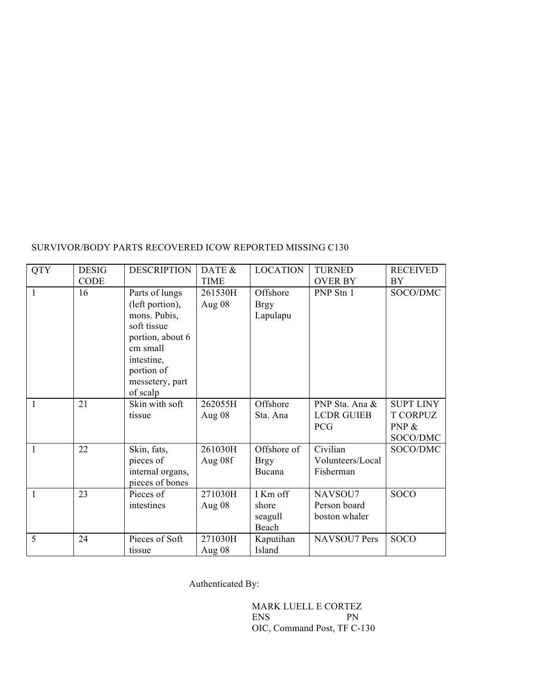# SURVIVOR/BODY PARTS RECOVERED ICOW REPORTED MISSING C130

| <b>QTY</b> | <b>DESIG</b> | <b>DESCRIPTION</b>                                                                                                                                          | DATE &              | <b>LOCATION</b>                       | <b>TURNED</b>                                     | <b>RECEIVED</b>                                             |
|------------|--------------|-------------------------------------------------------------------------------------------------------------------------------------------------------------|---------------------|---------------------------------------|---------------------------------------------------|-------------------------------------------------------------|
|            | CODE         |                                                                                                                                                             | <b>TIME</b>         |                                       | <b>OVER BY</b>                                    | BY                                                          |
| 1          | 16           | Parts of lungs<br>(left portion),<br>mons. Pubis,<br>soft tissue<br>portion, about 6<br>cm small<br>intestine,<br>portion of<br>messetery, part<br>of scalp | 261530H<br>Aug 08   | Offshore<br><b>Brgy</b><br>Lapulapu   | PNP Stn 1                                         | SOCO/DMC                                                    |
| 1          | 21           | Skin with soft<br>tissue                                                                                                                                    | 262055H<br>Aug $08$ | Offshore<br>Sta. Ana                  | PNP Sta. Ana &<br><b>LCDR GUIEB</b><br><b>PCG</b> | <b>SUPT LINY</b><br><b>T CORPUZ</b><br>PNP $\&$<br>SOCO/DMC |
| 1          | 22           | Skin, fats,<br>pieces of<br>internal organs,<br>pieces of bones                                                                                             | 261030H<br>Aug 08f  | Offshore of<br><b>Brgy</b><br>Bucana  | Civilian<br>Volunteers/Local<br>Fisherman         | SOCO/DMC                                                    |
| 1          | 23           | Pieces of<br>intestines                                                                                                                                     | 271030H<br>Aug 08   | I Km off<br>shore<br>seagull<br>Beach | NAVSOU7<br>Person board<br>boston whaler          | SOCO                                                        |
| 5          | 24           | Pieces of Soft<br>tissue                                                                                                                                    | 271030H<br>Aug $08$ | Kaputihan<br>Island                   | NAVSOU7 Pers                                      | <b>SOCO</b>                                                 |

Authenticated By:

MARK LUELL E CORTEZ<br>ENS PN **ENS** OIC, Command Post, TF C-130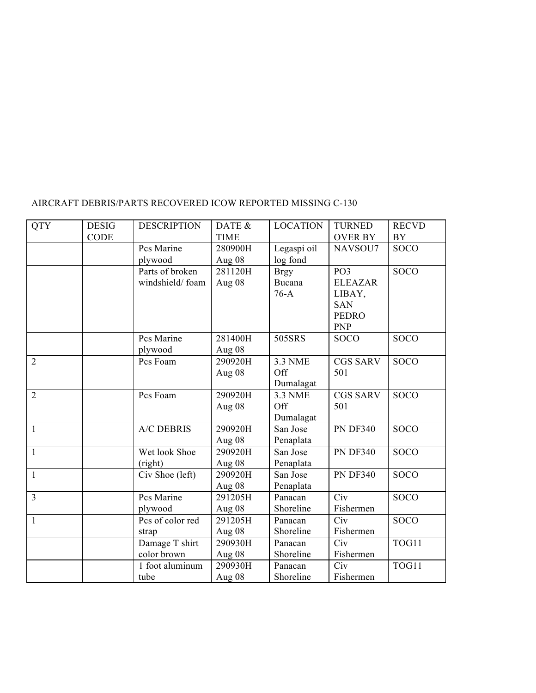| <b>QTY</b>     | <b>DESIG</b> | <b>DESCRIPTION</b> | DATE &      | <b>LOCATION</b> | <b>TURNED</b>   | <b>RECVD</b> |
|----------------|--------------|--------------------|-------------|-----------------|-----------------|--------------|
|                | <b>CODE</b>  |                    | <b>TIME</b> |                 | <b>OVER BY</b>  | BY           |
|                |              | Pcs Marine         | 280900H     | Legaspi oil     | NAVSOU7         | <b>SOCO</b>  |
|                |              | plywood            | Aug 08      | log fond        |                 |              |
|                |              | Parts of broken    | 281120H     | <b>Brgy</b>     | PO <sub>3</sub> | <b>SOCO</b>  |
|                |              | windshield/foam    | Aug 08      | <b>Bucana</b>   | <b>ELEAZAR</b>  |              |
|                |              |                    |             | $76-A$          | LIBAY,          |              |
|                |              |                    |             |                 | <b>SAN</b>      |              |
|                |              |                    |             |                 | <b>PEDRO</b>    |              |
|                |              |                    |             |                 | <b>PNP</b>      |              |
|                |              | Pcs Marine         | 281400H     | 505SRS          | SOCO            | <b>SOCO</b>  |
|                |              | plywood            | Aug 08      |                 |                 |              |
| $\overline{2}$ |              | Pcs Foam           | 290920H     | <b>3.3 NME</b>  | <b>CGS SARV</b> | <b>SOCO</b>  |
|                |              |                    | Aug 08      | Off             | 501             |              |
|                |              |                    |             | Dumalagat       |                 |              |
| $\overline{2}$ |              | Pcs Foam           | 290920H     | <b>3.3 NME</b>  | <b>CGS SARV</b> | <b>SOCO</b>  |
|                |              |                    | Aug 08      | Off             | 501             |              |
|                |              |                    |             | Dumalagat       |                 |              |
| $\mathbf{1}$   |              | <b>A/C DEBRIS</b>  | 290920H     | San Jose        | <b>PN DF340</b> | <b>SOCO</b>  |
|                |              |                    | Aug 08      | Penaplata       |                 |              |
| $\mathbf{1}$   |              | Wet look Shoe      | 290920H     | San Jose        | <b>PN DF340</b> | <b>SOCO</b>  |
|                |              | (right)            | Aug 08      | Penaplata       |                 |              |
| $\mathbf{1}$   |              | Civ Shoe (left)    | 290920H     | San Jose        | <b>PN DF340</b> | <b>SOCO</b>  |
|                |              |                    | Aug 08      | Penaplata       |                 |              |
| $\overline{3}$ |              | Pcs Marine         | 291205H     | Panacan         | Civ             | <b>SOCO</b>  |
|                |              | plywood            | Aug 08      | Shoreline       | Fishermen       |              |
| $\mathbf{1}$   |              | Pcs of color red   | 291205H     | Panacan         | Civ             | <b>SOCO</b>  |
|                |              | strap              | Aug 08      | Shoreline       | Fishermen       |              |
|                |              | Damage T shirt     | 290930H     | Panacan         | Civ             | TOG11        |
|                |              | color brown        | Aug 08      | Shoreline       | Fishermen       |              |
|                |              | 1 foot aluminum    | 290930H     | Panacan         | Civ             | TOG11        |
|                |              | tube               | Aug 08      | Shoreline       | Fishermen       |              |

# AIRCRAFT DEBRIS/PARTS RECOVERED ICOW REPORTED MISSING C-130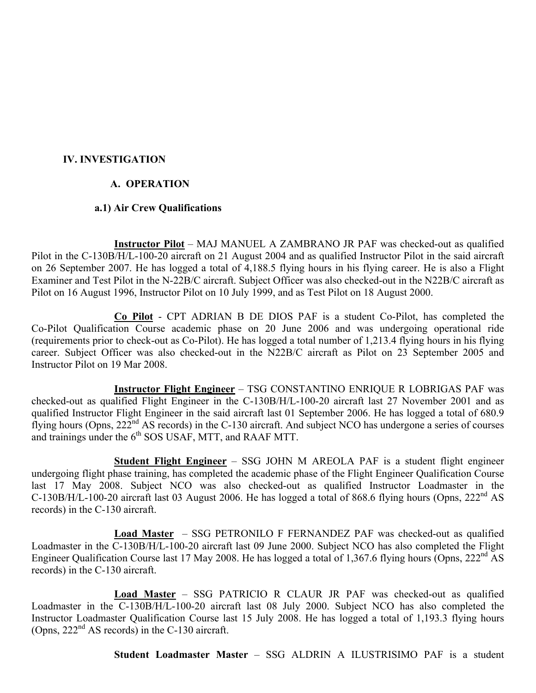# **IV. INVESTIGATION**

# **A. OPERATION**

# **a.1) Air Crew Qualifications**

**Instructor Pilot** – MAJ MANUEL A ZAMBRANO JR PAF was checked-out as qualified Pilot in the C-130B/H/L-100-20 aircraft on 21 August 2004 and as qualified Instructor Pilot in the said aircraft on 26 September 2007. He has logged a total of 4,188.5 flying hours in his flying career. He is also a Flight Examiner and Test Pilot in the N-22B/C aircraft. Subject Officer was also checked-out in the N22B/C aircraft as Pilot on 16 August 1996, Instructor Pilot on 10 July 1999, and as Test Pilot on 18 August 2000.

**Co Pilot** - CPT ADRIAN B DE DIOS PAF is a student Co-Pilot, has completed the Co-Pilot Qualification Course academic phase on 20 June 2006 and was undergoing operational ride (requirements prior to check-out as Co-Pilot). He has logged a total number of 1,213.4 flying hours in his flying career. Subject Officer was also checked-out in the N22B/C aircraft as Pilot on 23 September 2005 and Instructor Pilot on 19 Mar 2008.

**Instructor Flight Engineer** – TSG CONSTANTINO ENRIQUE R LOBRIGAS PAF was checked-out as qualified Flight Engineer in the C-130B/H/L-100-20 aircraft last 27 November 2001 and as qualified Instructor Flight Engineer in the said aircraft last 01 September 2006. He has logged a total of 680.9 flying hours (Opns, 222<sup>nd</sup> AS records) in the C-130 aircraft. And subject NCO has undergone a series of courses and trainings under the  $6<sup>th</sup>$  SOS USAF, MTT, and RAAF MTT.

**Student Flight Engineer** – SSG JOHN M AREOLA PAF is a student flight engineer undergoing flight phase training, has completed the academic phase of the Flight Engineer Qualification Course last 17 May 2008. Subject NCO was also checked-out as qualified Instructor Loadmaster in the C-130B/H/L-100-20 aircraft last 03 August 2006. He has logged a total of 868.6 flying hours (Opns,  $222<sup>nd</sup>$  AS records) in the C-130 aircraft.

**Load Master** – SSG PETRONILO F FERNANDEZ PAF was checked-out as qualified Loadmaster in the C-130B/H/L-100-20 aircraft last 09 June 2000. Subject NCO has also completed the Flight Engineer Qualification Course last 17 May 2008. He has logged a total of 1,367.6 flying hours (Opns, 222<sup>nd</sup> AS records) in the C-130 aircraft.

**Load Master** – SSG PATRICIO R CLAUR JR PAF was checked-out as qualified Loadmaster in the C-130B/H/L-100-20 aircraft last 08 July 2000. Subject NCO has also completed the Instructor Loadmaster Qualification Course last 15 July 2008. He has logged a total of 1,193.3 flying hours (Opns,  $222<sup>nd</sup>$  AS records) in the C-130 aircraft.

**Student Loadmaster Master** – SSG ALDRIN A ILUSTRISIMO PAF is a student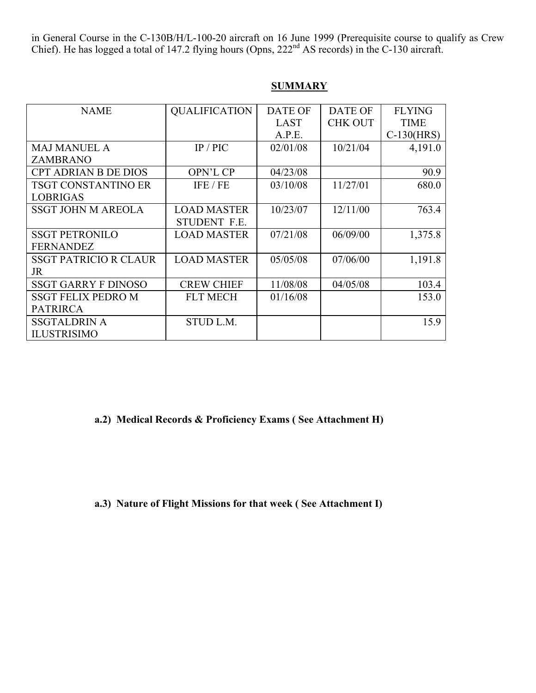in General Course in the C-130B/H/L-100-20 aircraft on 16 June 1999 (Prerequisite course to qualify as Crew Chief). He has logged a total of 147.2 flying hours (Opns,  $222<sup>nd</sup>$  AS records) in the C-130 aircraft.

| <b>NAME</b>                  | <b>QUALIFICATION</b> | <b>DATE OF</b> | <b>DATE OF</b> | <b>FLYING</b> |
|------------------------------|----------------------|----------------|----------------|---------------|
|                              |                      |                |                |               |
|                              |                      | <b>LAST</b>    | <b>CHK OUT</b> | <b>TIME</b>   |
|                              |                      | A.P.E.         |                | $C-130(HRS)$  |
| <b>MAJ MANUEL A</b>          | IP/PIC               | 02/01/08       | 10/21/04       | 4,191.0       |
| <b>ZAMBRANO</b>              |                      |                |                |               |
| <b>CPT ADRIAN B DE DIOS</b>  | <b>OPN'L CP</b>      | 04/23/08       |                | 90.9          |
| <b>TSGT CONSTANTINO ER</b>   | IFE / FE             | 03/10/08       | 11/27/01       | 680.0         |
| <b>LOBRIGAS</b>              |                      |                |                |               |
| <b>SSGT JOHN M AREOLA</b>    | <b>LOAD MASTER</b>   | 10/23/07       | 12/11/00       | 763.4         |
|                              | <b>STUDENT F.E.</b>  |                |                |               |
| <b>SSGT PETRONILO</b>        | <b>LOAD MASTER</b>   | 07/21/08       | 06/09/00       | 1,375.8       |
| <b>FERNANDEZ</b>             |                      |                |                |               |
| <b>SSGT PATRICIO R CLAUR</b> | <b>LOAD MASTER</b>   | 05/05/08       | 07/06/00       | 1,191.8       |
| <b>JR</b>                    |                      |                |                |               |
| <b>SSGT GARRY F DINOSO</b>   | <b>CREW CHIEF</b>    | 11/08/08       | 04/05/08       | 103.4         |
| <b>SSGT FELIX PEDRO M</b>    | <b>FLT MECH</b>      | 01/16/08       |                | 153.0         |
| <b>PATRIRCA</b>              |                      |                |                |               |
| <b>SSGTALDRIN A</b>          | STUD L.M.            |                |                | 15.9          |
| <b>ILUSTRISIMO</b>           |                      |                |                |               |

# **SUMMARY**

**a.2) Medical Records & Proficiency Exams ( See Attachment H)**

**a.3) Nature of Flight Missions for that week ( See Attachment I)**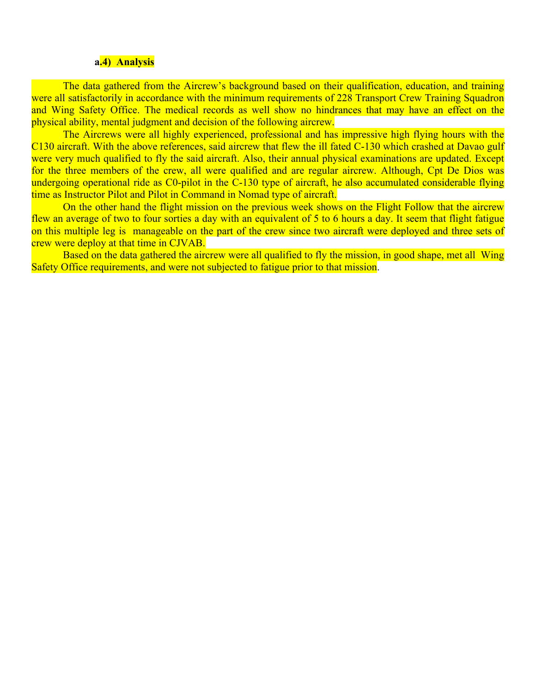#### **a.4) Analysis**

The data gathered from the Aircrew's background based on their qualification, education, and training were all satisfactorily in accordance with the minimum requirements of 228 Transport Crew Training Squadron and Wing Safety Office. The medical records as well show no hindrances that may have an effect on the physical ability, mental judgment and decision of the following aircrew.

The Aircrews were all highly experienced, professional and has impressive high flying hours with the C130 aircraft. With the above references, said aircrew that flew the ill fated C-130 which crashed at Davao gulf were very much qualified to fly the said aircraft. Also, their annual physical examinations are updated. Except for the three members of the crew, all were qualified and are regular aircrew. Although, Cpt De Dios was undergoing operational ride as C0-pilot in the C-130 type of aircraft, he also accumulated considerable flying time as Instructor Pilot and Pilot in Command in Nomad type of aircraft.

On the other hand the flight mission on the previous week shows on the Flight Follow that the aircrew flew an average of two to four sorties a day with an equivalent of 5 to 6 hours a day. It seem that flight fatigue on this multiple leg is manageable on the part of the crew since two aircraft were deployed and three sets of crew were deploy at that time in CJVAB.

Based on the data gathered the aircrew were all qualified to fly the mission, in good shape, met all Wing Safety Office requirements, and were not subjected to fatigue prior to that mission.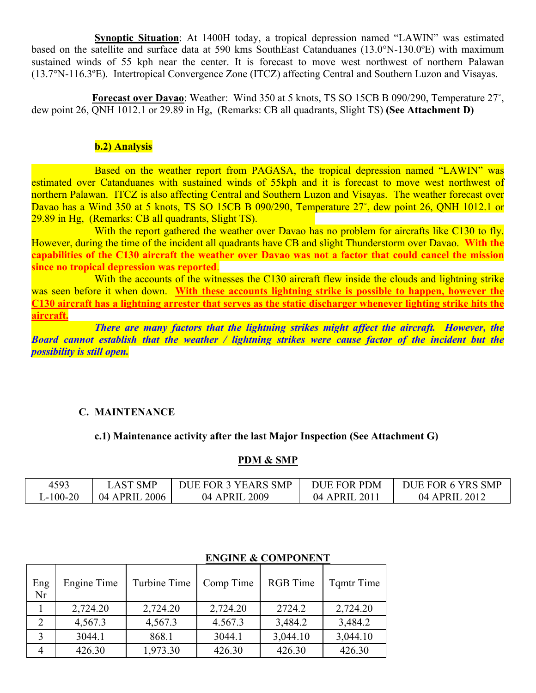**Synoptic Situation**: At 1400H today, a tropical depression named "LAWIN" was estimated based on the satellite and surface data at 590 kms SouthEast Catanduanes (13.0°N-130.0ºE) with maximum sustained winds of 55 kph near the center. It is forecast to move west northwest of northern Palawan (13.7°N-116.3ºE). Intertropical Convergence Zone (ITCZ) affecting Central and Southern Luzon and Visayas.

**Forecast over Davao**: Weather: Wind 350 at 5 knots, TS SO 15CB B 090/290, Temperature 27˚, dew point 26, QNH 1012.1 or 29.89 in Hg, (Remarks: CB all quadrants, Slight TS) **(See Attachment D)**

# **b.2) Analysis**

Based on the weather report from PAGASA, the tropical depression named "LAWIN" was estimated over Catanduanes with sustained winds of 55kph and it is forecast to move west northwest of northern Palawan. ITCZ is also affecting Central and Southern Luzon and Visayas. The weather forecast over Davao has a Wind 350 at 5 knots, TS SO 15CB B 090/290, Temperature 27°, dew point 26, QNH 1012.1 or 29.89 in Hg, (Remarks: CB all quadrants, Slight TS).

With the report gathered the weather over Davao has no problem for aircrafts like C130 to fly. However, during the time of the incident all quadrants have CB and slight Thunderstorm over Davao. **With the capabilities of the C130 aircraft the weather over Davao was not a factor that could cancel the mission since no tropical depression was reported**.

With the accounts of the witnesses the C130 aircraft flew inside the clouds and lightning strike was seen before it when down. **With these accounts lightning strike is possible to happen, however the C130 aircraft has a lightning arrester that serves as the static discharger whenever lighting strike hits the aircraft.**

*There are many factors that the lightning strikes might affect the aircraft. However, the Board cannot establish that the weather / lightning strikes were cause factor of the incident but the possibility is still open.*

# **C. MAINTENANCE**

# **c.1) Maintenance activity after the last Major Inspection (See Attachment G)**

## **PDM & SMP**

| 4593      | <b>AST SMP</b> | DUE FOR 3 YEARS SMP | DUE FOR PDM  | DUE FOR 6 YRS SMP |
|-----------|----------------|---------------------|--------------|-------------------|
| $-100-20$ | 04 APRIL 2006  | 04 APRIL 2009       | 04 APRIL 201 | 04 APRIL 2012     |

| Eng<br>Nr | Engine Time | Turbine Time | Comp Time | <b>RGB</b> Time | <b>T</b> qmtr Time |
|-----------|-------------|--------------|-----------|-----------------|--------------------|
|           | 2,724.20    | 2,724.20     | 2,724.20  | 2724.2          | 2,724.20           |
|           | 4,567.3     | 4,567.3      | 4.567.3   | 3,484.2         | 3,484.2            |
|           | 3044.1      | 868.1        | 3044.1    | 3,044.10        | 3,044.10           |
|           | 426.30      | 1,973.30     | 426.30    | 426.30          | 426.30             |

# **ENGINE & COMPONENT**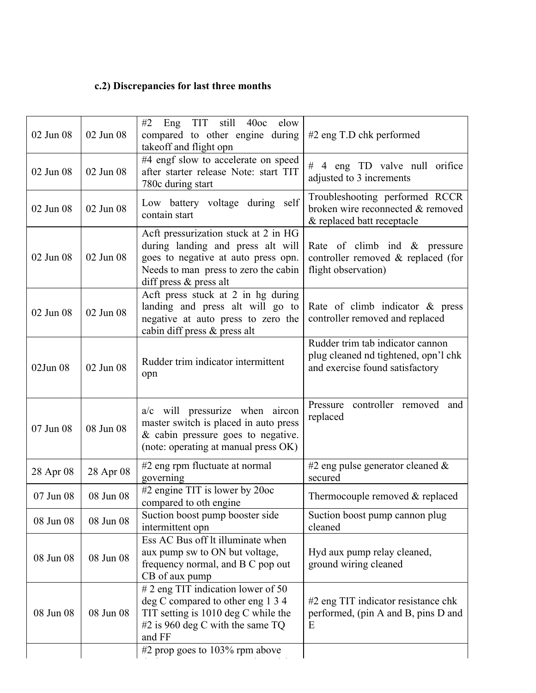# **c.2) Discrepancies for last three months**

| 02 Jun 08 | 02 Jun 08 | #2<br>Eng TIT<br>still 40oc<br>elow<br>compared to other engine during<br>takeoff and flight opn                                                                                                  | $#2$ eng T.D chk performed                                                                                  |
|-----------|-----------|---------------------------------------------------------------------------------------------------------------------------------------------------------------------------------------------------|-------------------------------------------------------------------------------------------------------------|
| 02 Jun 08 | 02 Jun 08 | #4 engf slow to accelerate on speed<br>after starter release Note: start TIT<br>780c during start                                                                                                 | # 4 eng TD valve null orifice<br>adjusted to 3 increments                                                   |
| 02 Jun 08 | 02 Jun 08 | Low battery voltage during self<br>contain start                                                                                                                                                  | Troubleshooting performed RCCR<br>broken wire reconnected & removed<br>& replaced batt receptacle           |
| 02 Jun 08 | 02 Jun 08 | Acft pressurization stuck at 2 in HG<br>during landing and press alt will<br>goes to negative at auto press opn.<br>Needs to man press to zero the cabin<br>diff press & press alt                | Rate of climb ind & pressure<br>controller removed & replaced (for<br>flight observation)                   |
| 02 Jun 08 | 02 Jun 08 | Acft press stuck at 2 in hg during<br>landing and press alt will go to<br>negative at auto press to zero the<br>cabin diff press & press alt                                                      | Rate of climb indicator $\&$ press<br>controller removed and replaced                                       |
| 02Jun 08  | 02 Jun 08 | Rudder trim indicator intermittent<br>opn                                                                                                                                                         | Rudder trim tab indicator cannon<br>plug cleaned nd tightened, opn'l chk<br>and exercise found satisfactory |
| 07 Jun 08 | 08 Jun 08 | a/c will pressurize when aircon<br>master switch is placed in auto press<br>$&$ cabin pressure goes to negative.<br>(note: operating at manual press OK)                                          | controller removed and<br>Pressure<br>replaced                                                              |
| 28 Apr 08 | 28 Apr 08 | #2 eng rpm fluctuate at normal<br>governing                                                                                                                                                       | #2 eng pulse generator cleaned $\&$<br>secured                                                              |
| 07 Jun 08 | 08 Jun 08 | #2 engine TIT is lower by 20oc<br>compared to oth engine                                                                                                                                          | Thermocouple removed & replaced                                                                             |
| 08 Jun 08 | 08 Jun 08 | Suction boost pump booster side<br>intermittent opn                                                                                                                                               | Suction boost pump cannon plug<br>cleaned                                                                   |
| 08 Jun 08 | 08 Jun 08 | Ess AC Bus off lt illuminate when<br>aux pump sw to ON but voltage,<br>frequency normal, and B C pop out<br>CB of aux pump                                                                        | Hyd aux pump relay cleaned,<br>ground wiring cleaned                                                        |
| 08 Jun 08 | 08 Jun 08 | # 2 eng TIT indication lower of 50<br>deg C compared to other eng 1 3 4<br>TIT setting is 1010 deg C while the<br>#2 is 960 deg C with the same TQ<br>and FF<br>#2 prop goes to $103\%$ rpm above | #2 eng TIT indicator resistance chk<br>performed, (pin A and B, pins D and<br>E                             |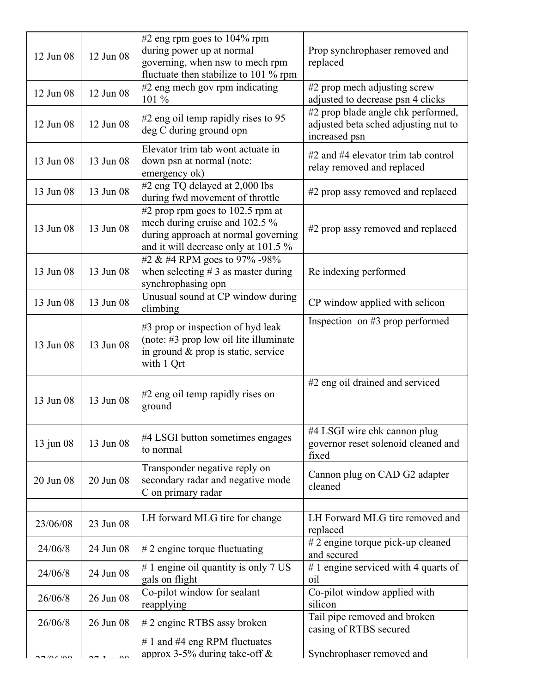| 12 Jun 08   | 12 Jun 08      | #2 eng rpm goes to $104\%$ rpm<br>during power up at normal<br>governing, when nsw to mech rpm<br>fluctuate then stabilize to 101 % rpm           | Prop synchrophaser removed and<br>replaced                                                  |
|-------------|----------------|---------------------------------------------------------------------------------------------------------------------------------------------------|---------------------------------------------------------------------------------------------|
| 12 Jun 08   | 12 Jun 08      | #2 eng mech gov rpm indicating<br>101 %                                                                                                           | #2 prop mech adjusting screw<br>adjusted to decrease psn 4 clicks                           |
| 12 Jun 08   | 12 Jun 08      | $#2$ eng oil temp rapidly rises to 95<br>deg C during ground opn                                                                                  | #2 prop blade angle chk performed,<br>adjusted beta sched adjusting nut to<br>increased psn |
| 13 Jun 08   | 13 Jun 08      | Elevator trim tab wont actuate in<br>down psn at normal (note:<br>emergency ok)                                                                   | $#2$ and $#4$ elevator trim tab control<br>relay removed and replaced                       |
| 13 Jun 08   | 13 Jun 08      | #2 eng TQ delayed at 2,000 lbs<br>during fwd movement of throttle                                                                                 | #2 prop assy removed and replaced                                                           |
| 13 Jun 08   | 13 Jun 08      | #2 prop rpm goes to 102.5 rpm at<br>mech during cruise and 102.5 %<br>during approach at normal governing<br>and it will decrease only at 101.5 % | #2 prop assy removed and replaced                                                           |
| 13 Jun 08   | 13 Jun 08      | #2 & #4 RPM goes to 97% -98%<br>when selecting $# 3$ as master during<br>synchrophasing opn                                                       | Re indexing performed                                                                       |
| 13 Jun 08   | 13 Jun 08      | Unusual sound at CP window during<br>climbing                                                                                                     | CP window applied with selicon                                                              |
| 13 Jun 08   | 13 Jun 08      | #3 prop or inspection of hyd leak<br>(note: #3 prop low oil lite illuminate)<br>in ground & prop is static, service<br>with 1 Qrt                 | Inspection on $#3$ prop performed                                                           |
| 13 Jun 08   | 13 Jun 08      | #2 eng oil temp rapidly rises on<br>ground                                                                                                        | #2 eng oil drained and serviced                                                             |
| $13$ jun 08 | 13 Jun 08      | #4 LSGI button sometimes engages<br>to normal                                                                                                     | #4 LSGI wire chk cannon plug<br>governor reset solenoid cleaned and<br>fixed                |
| 20 Jun 08   | 20 Jun 08      | Transponder negative reply on<br>secondary radar and negative mode<br>C on primary radar                                                          | Cannon plug on CAD G2 adapter<br>cleaned                                                    |
|             |                |                                                                                                                                                   |                                                                                             |
| 23/06/08    | 23 Jun 08      | LH forward MLG tire for change                                                                                                                    | LH Forward MLG tire removed and<br>replaced                                                 |
| 24/06/8     | 24 Jun 08      | $# 2$ engine torque fluctuating                                                                                                                   | # 2 engine torque pick-up cleaned<br>and secured                                            |
| 24/06/8     | 24 Jun 08      | # 1 engine oil quantity is only 7 US<br>gals on flight                                                                                            | #1 engine serviced with 4 quarts of<br>oil                                                  |
| 26/06/8     | 26 Jun 08      | Co-pilot window for sealant<br>reapplying                                                                                                         | Co-pilot window applied with<br>silicon                                                     |
| 26/06/8     | 26 Jun 08      | # 2 engine RTBS assy broken                                                                                                                       | Tail pipe removed and broken<br>casing of RTBS secured                                      |
| 7/06/00     | $\overline{0}$ | # 1 and #4 eng RPM fluctuates<br>approx 3-5% during take-off $\&$                                                                                 | Synchrophaser removed and                                                                   |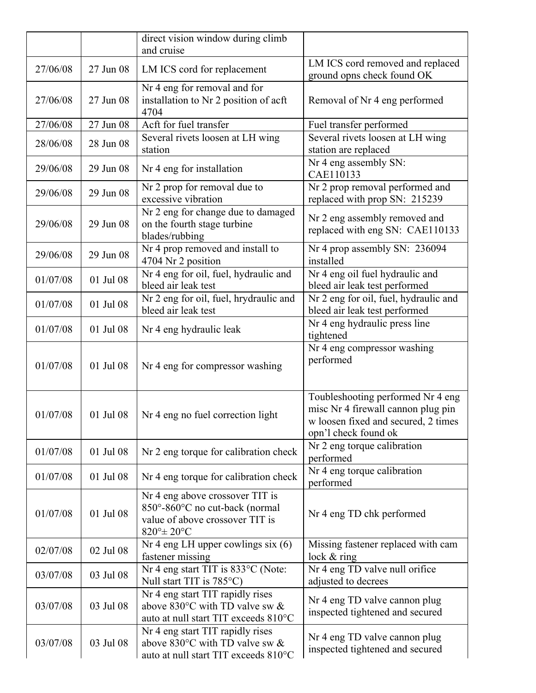|          |           | direct vision window during climb<br>and cruise                                                                                        |                                                                                                                                        |
|----------|-----------|----------------------------------------------------------------------------------------------------------------------------------------|----------------------------------------------------------------------------------------------------------------------------------------|
| 27/06/08 | 27 Jun 08 | LM ICS cord for replacement                                                                                                            | LM ICS cord removed and replaced<br>ground opns check found OK                                                                         |
| 27/06/08 | 27 Jun 08 | Nr 4 eng for removal and for<br>installation to Nr 2 position of acft<br>4704                                                          | Removal of Nr 4 eng performed                                                                                                          |
| 27/06/08 | 27 Jun 08 | Acft for fuel transfer                                                                                                                 | Fuel transfer performed                                                                                                                |
| 28/06/08 | 28 Jun 08 | Several rivets loosen at LH wing<br>station                                                                                            | Several rivets loosen at LH wing<br>station are replaced                                                                               |
| 29/06/08 | 29 Jun 08 | Nr 4 eng for installation                                                                                                              | Nr 4 eng assembly SN:<br>CAE110133                                                                                                     |
| 29/06/08 | 29 Jun 08 | Nr 2 prop for removal due to<br>excessive vibration                                                                                    | Nr 2 prop removal performed and<br>replaced with prop SN: 215239                                                                       |
| 29/06/08 | 29 Jun 08 | Nr 2 eng for change due to damaged<br>on the fourth stage turbine<br>blades/rubbing                                                    | Nr 2 eng assembly removed and<br>replaced with eng SN: CAE110133                                                                       |
| 29/06/08 | 29 Jun 08 | Nr 4 prop removed and install to<br>4704 Nr 2 position                                                                                 | Nr 4 prop assembly SN: 236094<br>installed                                                                                             |
| 01/07/08 | 01 Jul 08 | Nr 4 eng for oil, fuel, hydraulic and<br>bleed air leak test                                                                           | Nr 4 eng oil fuel hydraulic and<br>bleed air leak test performed                                                                       |
| 01/07/08 | 01 Jul 08 | Nr 2 eng for oil, fuel, hrydraulic and<br>bleed air leak test                                                                          | Nr 2 eng for oil, fuel, hydraulic and<br>bleed air leak test performed                                                                 |
| 01/07/08 | 01 Jul 08 | Nr 4 eng hydraulic leak                                                                                                                | Nr 4 eng hydraulic press line<br>tightened                                                                                             |
| 01/07/08 | 01 Jul 08 | Nr 4 eng for compressor washing                                                                                                        | Nr 4 eng compressor washing<br>performed                                                                                               |
| 01/07/08 | 01 Jul 08 | Nr 4 eng no fuel correction light                                                                                                      | Toubleshooting performed Nr 4 eng<br>misc Nr 4 firewall cannon plug pin<br>w loosen fixed and secured, 2 times<br>opn'l check found ok |
| 01/07/08 | 01 Jul 08 | Nr 2 eng torque for calibration check                                                                                                  | Nr 2 eng torque calibration<br>performed                                                                                               |
| 01/07/08 | 01 Jul 08 | Nr 4 eng torque for calibration check                                                                                                  | Nr 4 eng torque calibration<br>performed                                                                                               |
| 01/07/08 | 01 Jul 08 | Nr 4 eng above crossover TIT is<br>850°-860°C no cut-back (normal<br>value of above crossover TIT is<br>$820^{\circ}$ ± $20^{\circ}$ C | Nr 4 eng TD chk performed                                                                                                              |
| 02/07/08 | 02 Jul 08 | Nr 4 eng LH upper cowlings six (6)<br>fastener missing                                                                                 | Missing fastener replaced with cam<br>lock $&$ ring                                                                                    |
| 03/07/08 | 03 Jul 08 | Nr 4 eng start TIT is 833°C (Note:<br>Null start TIT is 785°C)                                                                         | Nr 4 eng TD valve null orifice<br>adjusted to decrees                                                                                  |
| 03/07/08 | 03 Jul 08 | Nr 4 eng start TIT rapidly rises<br>above $830^{\circ}$ C with TD valve sw &<br>auto at null start TIT exceeds 810°C                   | Nr 4 eng TD valve cannon plug<br>inspected tightened and secured                                                                       |
| 03/07/08 | 03 Jul 08 | Nr 4 eng start TIT rapidly rises<br>above 830 $\degree$ C with TD valve sw &<br>auto at null start TIT exceeds 810°C                   | Nr 4 eng TD valve cannon plug<br>inspected tightened and secured                                                                       |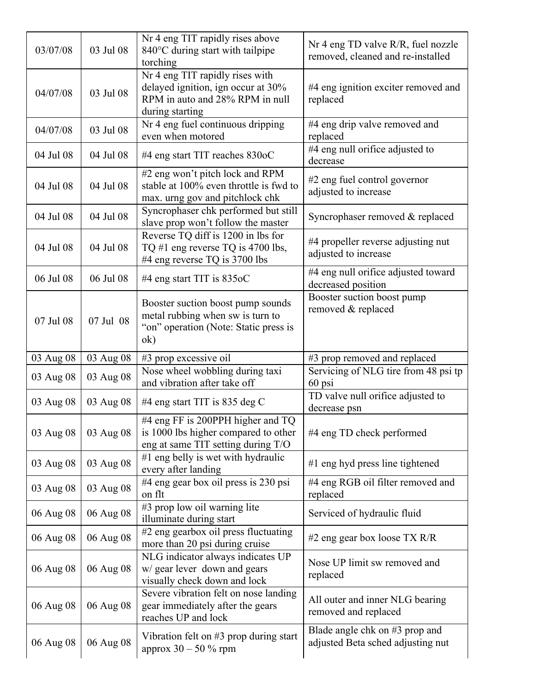| 03/07/08  | 03 Jul 08 | Nr 4 eng TIT rapidly rises above<br>840°C during start with tailpipe<br>torching                                            | Nr 4 eng TD valve $R/R$ , fuel nozzle<br>removed, cleaned and re-installed |
|-----------|-----------|-----------------------------------------------------------------------------------------------------------------------------|----------------------------------------------------------------------------|
| 04/07/08  | 03 Jul 08 | Nr 4 eng TIT rapidly rises with<br>delayed ignition, ign occur at 30%<br>RPM in auto and 28% RPM in null<br>during starting | #4 eng ignition exciter removed and<br>replaced                            |
| 04/07/08  | 03 Jul 08 | Nr 4 eng fuel continuous dripping<br>even when motored                                                                      | #4 eng drip valve removed and<br>replaced                                  |
| 04 Jul 08 | 04 Jul 08 | #4 eng start TIT reaches 830oC                                                                                              | #4 eng null orifice adjusted to<br>decrease                                |
| 04 Jul 08 | 04 Jul 08 | #2 eng won't pitch lock and RPM<br>stable at 100% even throttle is fwd to<br>max. urng gov and pitchlock chk                | #2 eng fuel control governor<br>adjusted to increase                       |
| 04 Jul 08 | 04 Jul 08 | Syncrophaser chk performed but still<br>slave prop won't follow the master                                                  | Syncrophaser removed & replaced                                            |
| 04 Jul 08 | 04 Jul 08 | Reverse TQ diff is 1200 in lbs for<br>TQ #1 eng reverse TQ is 4700 lbs,<br>#4 eng reverse TQ is 3700 lbs                    | #4 propeller reverse adjusting nut<br>adjusted to increase                 |
| 06 Jul 08 | 06 Jul 08 | #4 eng start TIT is $835$ oC                                                                                                | #4 eng null orifice adjusted toward<br>decreased position                  |
| 07 Jul 08 | 07 Jul 08 | Booster suction boost pump sounds<br>metal rubbing when sw is turn to<br>"on" operation (Note: Static press is<br>ok)       | Booster suction boost pump<br>removed & replaced                           |
| 03 Aug 08 | 03 Aug 08 | $#3$ prop excessive oil                                                                                                     | #3 prop removed and replaced                                               |
| 03 Aug 08 | 03 Aug 08 | Nose wheel wobbling during taxi<br>and vibration after take off                                                             | Servicing of NLG tire from 48 psi tp<br>60 psi                             |
| 03 Aug 08 | 03 Aug 08 | #4 eng start TIT is 835 deg C                                                                                               | TD valve null orifice adjusted to<br>decrease psn                          |
| 03 Aug 08 | 03 Aug 08 | #4 eng FF is 200PPH higher and TQ<br>is 1000 lbs higher compared to other<br>eng at same TIT setting during T/O             | #4 eng TD check performed                                                  |
| 03 Aug 08 | 03 Aug 08 | #1 eng belly is wet with hydraulic<br>every after landing                                                                   | $#1$ eng hyd press line tightened                                          |
| 03 Aug 08 | 03 Aug 08 | #4 eng gear box oil press is 230 psi<br>on flt                                                                              | #4 eng RGB oil filter removed and<br>replaced                              |
| 06 Aug 08 | 06 Aug 08 | #3 prop low oil warning lite<br>illuminate during start                                                                     | Serviced of hydraulic fluid                                                |
| 06 Aug 08 | 06 Aug 08 | #2 eng gearbox oil press fluctuating<br>more than 20 psi during cruise                                                      | #2 eng gear box loose $TX R/R$                                             |
| 06 Aug 08 | 06 Aug 08 | NLG indicator always indicates UP<br>w/ gear lever down and gears<br>visually check down and lock                           | Nose UP limit sw removed and<br>replaced                                   |
| 06 Aug 08 | 06 Aug 08 | Severe vibration felt on nose landing<br>gear immediately after the gears<br>reaches UP and lock                            | All outer and inner NLG bearing<br>removed and replaced                    |
| 06 Aug 08 | 06 Aug 08 | Vibration felt on $#3$ prop during start<br>approx $30 - 50 %$ rpm                                                          | Blade angle chk on #3 prop and<br>adjusted Beta sched adjusting nut        |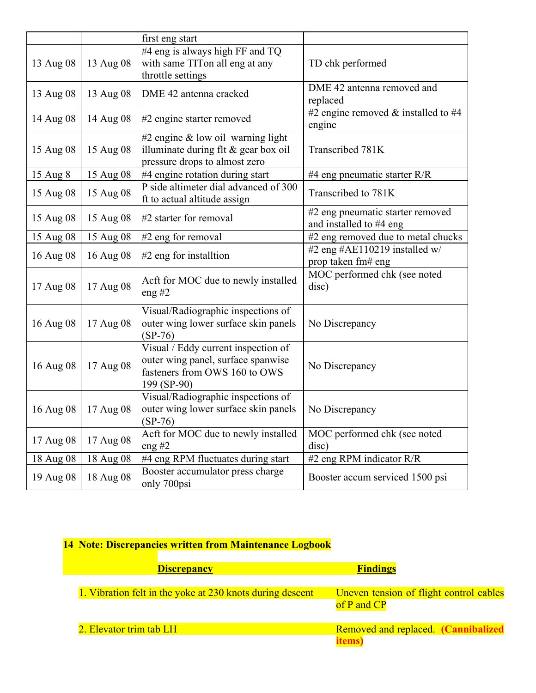|           |           | first eng start                                                                                                           |                                                             |
|-----------|-----------|---------------------------------------------------------------------------------------------------------------------------|-------------------------------------------------------------|
| 13 Aug 08 | 13 Aug 08 | #4 eng is always high FF and TQ<br>with same TITon all eng at any<br>throttle settings                                    | TD chk performed                                            |
| 13 Aug 08 | 13 Aug 08 | DME 42 antenna cracked                                                                                                    | DME 42 antenna removed and<br>replaced                      |
| 14 Aug 08 | 14 Aug 08 | #2 engine starter removed                                                                                                 | #2 engine removed $&$ installed to #4<br>engine             |
| 15 Aug 08 | 15 Aug 08 | #2 engine $&$ low oil warning light<br>illuminate during flt $\&$ gear box oil<br>pressure drops to almost zero           | Transcribed 781K                                            |
| 15 Aug 8  | 15 Aug 08 | #4 engine rotation during start                                                                                           | #4 eng pneumatic starter R/R                                |
| 15 Aug 08 | 15 Aug 08 | P side altimeter dial advanced of 300<br>ft to actual altitude assign                                                     | Transcribed to 781K                                         |
| 15 Aug 08 | 15 Aug 08 | #2 starter for removal                                                                                                    | #2 eng pneumatic starter removed<br>and installed to #4 eng |
| 15 Aug 08 | 15 Aug 08 | #2 eng for removal                                                                                                        | #2 eng removed due to metal chucks                          |
| 16 Aug 08 | 16 Aug 08 | $#2$ eng for installtion                                                                                                  | #2 eng #AE110219 installed w/<br>prop taken fm# eng         |
| 17 Aug 08 | 17 Aug 08 | Acft for MOC due to newly installed<br>eng #2                                                                             | MOC performed chk (see noted<br>disc)                       |
| 16 Aug 08 | 17 Aug 08 | Visual/Radiographic inspections of<br>outer wing lower surface skin panels<br>$(SP-76)$                                   | No Discrepancy                                              |
| 16 Aug 08 | 17 Aug 08 | Visual / Eddy current inspection of<br>outer wing panel, surface spanwise<br>fasteners from OWS 160 to OWS<br>199 (SP-90) | No Discrepancy                                              |
| 16 Aug 08 | 17 Aug 08 | Visual/Radiographic inspections of<br>outer wing lower surface skin panels<br>$(SP-76)$                                   | No Discrepancy                                              |
| 17 Aug 08 | 17 Aug 08 | Acft for MOC due to newly installed<br>eng $#2$                                                                           | MOC performed chk (see noted<br>disc)                       |
| 18 Aug 08 | 18 Aug 08 | #4 eng RPM fluctuates during start                                                                                        | #2 eng RPM indicator R/R                                    |
| 19 Aug 08 | 18 Aug 08 | Booster accumulator press charge<br>only 700psi                                                                           | Booster accum serviced 1500 psi                             |

# **14 Note: Discrepancies written from Maintenance Logbook**

| <b>Discrepancy</b>                                        | <b>Findings</b>                                        |
|-----------------------------------------------------------|--------------------------------------------------------|
| 1. Vibration felt in the yoke at 230 knots during descent | Uneven tension of flight control cables<br>of P and CP |
| 2. Elevator trim tab LH                                   | Removed and replaced. (Cannibalized<br>items           |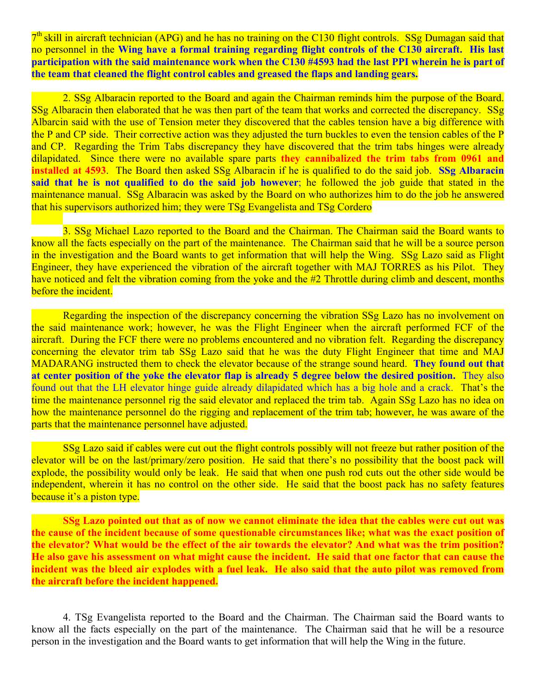$7<sup>th</sup>$  skill in aircraft technician (APG) and he has no training on the C130 flight controls. SSg Dumagan said that no personnel in the **Wing have a formal training regarding flight controls of the C130 aircraft. His last participation with the said maintenance work when the C130 #4593 had the last PPI wherein he is part of the team that cleaned the flight control cables and greased the flaps and landing gears.**

2. SSg Albaracin reported to the Board and again the Chairman reminds him the purpose of the Board. SSg Albaracin then elaborated that he was then part of the team that works and corrected the discrepancy. SSg Albarcin said with the use of Tension meter they discovered that the cables tension have a big difference with the P and CP side. Their corrective action was they adjusted the turn buckles to even the tension cables of the P and CP. Regarding the Trim Tabs discrepancy they have discovered that the trim tabs hinges were already dilapidated. Since there were no available spare parts **they cannibalized the trim tabs from 0961 and installed at 4593.** The Board then asked SSg Albaracin if he is qualified to do the said job. **SSg Albaracin said that he is not qualified to do the said job however**; he followed the job guide that stated in the maintenance manual. SSg Albaracin was asked by the Board on who authorizes him to do the job he answered that his supervisors authorized him; they were TSg Evangelista and TSg Cordero

3. SSg Michael Lazo reported to the Board and the Chairman. The Chairman said the Board wants to know all the facts especially on the part of the maintenance. The Chairman said that he will be a source person in the investigation and the Board wants to get information that will help the Wing. SSg Lazo said as Flight Engineer, they have experienced the vibration of the aircraft together with MAJ TORRES as his Pilot. They have noticed and felt the vibration coming from the yoke and the #2 Throttle during climb and descent, months before the incident.

Regarding the inspection of the discrepancy concerning the vibration SSg Lazo has no involvement on the said maintenance work; however, he was the Flight Engineer when the aircraft performed FCF of the aircraft. During the FCF there were no problems encountered and no vibration felt. Regarding the discrepancy concerning the elevator trim tab SSg Lazo said that he was the duty Flight Engineer that time and MAJ MADARANG instructed them to check the elevator because of the strange sound heard. **They found out that at center position of the yoke the elevator flap is already 5 degree below the desired position.** They also found out that the LH elevator hinge guide already dilapidated which has a big hole and a crack. That's the time the maintenance personnel rig the said elevator and replaced the trim tab. Again SSg Lazo has no idea on how the maintenance personnel do the rigging and replacement of the trim tab; however, he was aware of the parts that the maintenance personnel have adjusted.

SSg Lazo said if cables were cut out the flight controls possibly will not freeze but rather position of the elevator will be on the last/primary/zero position. He said that there's no possibility that the boost pack will explode, the possibility would only be leak. He said that when one push rod cuts out the other side would be independent, wherein it has no control on the other side. He said that the boost pack has no safety features because it's a piston type.

**SSg Lazo pointed out that as of now we cannot eliminate the idea that the cables were cut out was the cause of the incident because of some questionable circumstances like; what was the exact position of the elevator? What would be the effect of the air towards the elevator? And what was the trim position? He also gave his assessment on what might cause the incident. He said that one factor that can cause the incident was the bleed air explodes with a fuel leak. He also said that the auto pilot was removed from the aircraft before the incident happened.**

4. TSg Evangelista reported to the Board and the Chairman. The Chairman said the Board wants to know all the facts especially on the part of the maintenance. The Chairman said that he will be a resource person in the investigation and the Board wants to get information that will help the Wing in the future.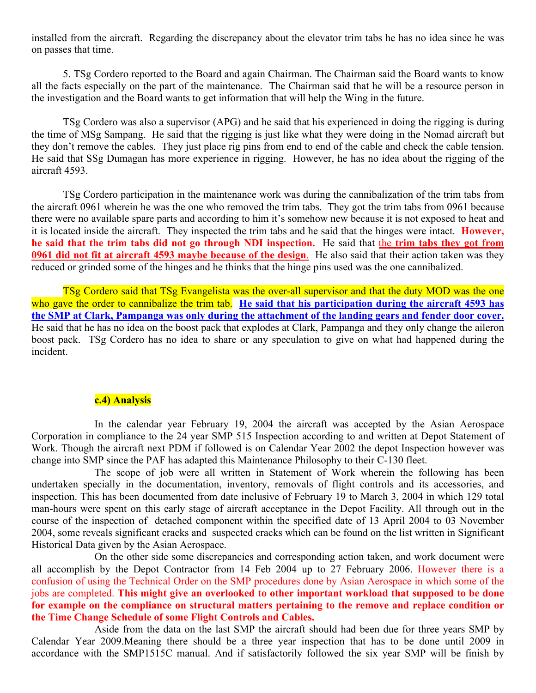installed from the aircraft. Regarding the discrepancy about the elevator trim tabs he has no idea since he was on passes that time.

5. TSg Cordero reported to the Board and again Chairman. The Chairman said the Board wants to know all the facts especially on the part of the maintenance. The Chairman said that he will be a resource person in the investigation and the Board wants to get information that will help the Wing in the future.

TSg Cordero was also a supervisor (APG) and he said that his experienced in doing the rigging is during the time of MSg Sampang. He said that the rigging is just like what they were doing in the Nomad aircraft but they don't remove the cables. They just place rig pins from end to end of the cable and check the cable tension. He said that SSg Dumagan has more experience in rigging. However, he has no idea about the rigging of the aircraft 4593.

TSg Cordero participation in the maintenance work was during the cannibalization of the trim tabs from the aircraft 0961 wherein he was the one who removed the trim tabs. They got the trim tabs from 0961 because there were no available spare parts and according to him it's somehow new because it is not exposed to heat and it is located inside the aircraft. They inspected the trim tabs and he said that the hinges were intact. **However, he said that the trim tabs did not go through NDI inspection.** He said that the **trim tabs they got from 0961 did not fit at aircraft 4593 maybe because of the design**. He also said that their action taken was they reduced or grinded some of the hinges and he thinks that the hinge pins used was the one cannibalized.

TSg Cordero said that TSg Evangelista was the over-all supervisor and that the duty MOD was the one who gave the order to cannibalize the trim tab. He said that his participation during the aircraft 4593 has **the SMP at Clark, Pampanga was only during the attachment of the landing gears and fender door cover.** He said that he has no idea on the boost pack that explodes at Clark, Pampanga and they only change the aileron boost pack. TSg Cordero has no idea to share or any speculation to give on what had happened during the incident.

# **c.4) Analysis**

In the calendar year February 19, 2004 the aircraft was accepted by the Asian Aerospace Corporation in compliance to the 24 year SMP 515 Inspection according to and written at Depot Statement of Work. Though the aircraft next PDM if followed is on Calendar Year 2002 the depot Inspection however was change into SMP since the PAF has adapted this Maintenance Philosophy to their C-130 fleet.

The scope of job were all written in Statement of Work wherein the following has been undertaken specially in the documentation, inventory, removals of flight controls and its accessories, and inspection. This has been documented from date inclusive of February 19 to March 3, 2004 in which 129 total man-hours were spent on this early stage of aircraft acceptance in the Depot Facility. All through out in the course of the inspection of detached component within the specified date of 13 April 2004 to 03 November 2004, some reveals significant cracks and suspected cracks which can be found on the list written in Significant Historical Data given by the Asian Aerospace.

On the other side some discrepancies and corresponding action taken, and work document were all accomplish by the Depot Contractor from 14 Feb 2004 up to 27 February 2006. However there is a confusion of using the Technical Order on the SMP procedures done by Asian Aerospace in which some of the jobs are completed. **This might give an overlooked to other important workload that supposed to be done for example on the compliance on structural matters pertaining to the remove and replace condition or the Time Change Schedule of some Flight Controls and Cables.**

Aside from the data on the last SMP the aircraft should had been due for three years SMP by Calendar Year 2009.Meaning there should be a three year inspection that has to be done until 2009 in accordance with the SMP1515C manual. And if satisfactorily followed the six year SMP will be finish by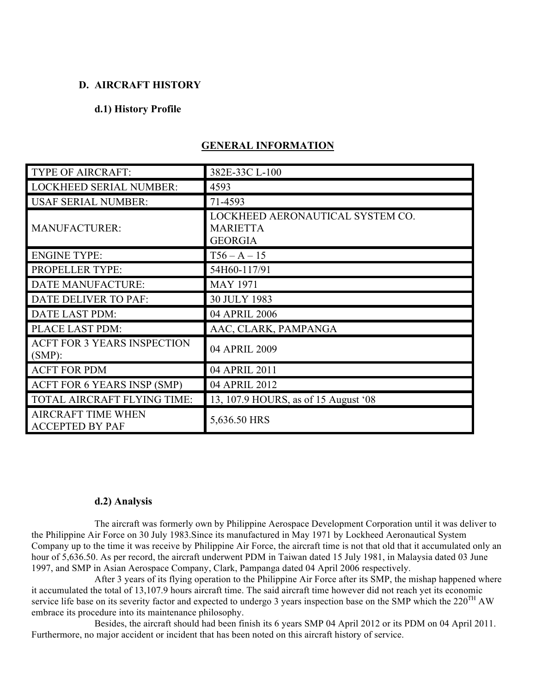#### **D. AIRCRAFT HISTORY**

#### **d.1) History Profile**

| <b>TYPE OF AIRCRAFT:</b>                            | 382E-33C L-100                                                        |
|-----------------------------------------------------|-----------------------------------------------------------------------|
| <b>LOCKHEED SERIAL NUMBER:</b>                      | 4593                                                                  |
| <b>USAF SERIAL NUMBER:</b>                          | 71-4593                                                               |
| <b>MANUFACTURER:</b>                                | LOCKHEED AERONAUTICAL SYSTEM CO.<br><b>MARIETTA</b><br><b>GEORGIA</b> |
| <b>ENGINE TYPE:</b>                                 | $T56 - A - 15$                                                        |
| PROPELLER TYPE:                                     | 54H60-117/91                                                          |
| <b>DATE MANUFACTURE:</b>                            | <b>MAY 1971</b>                                                       |
| DATE DELIVER TO PAF:                                | 30 JULY 1983                                                          |
| DATE LAST PDM:                                      | 04 APRIL 2006                                                         |
| PLACE LAST PDM:                                     | AAC, CLARK, PAMPANGA                                                  |
| <b>ACFT FOR 3 YEARS INSPECTION</b><br>$(SMP)$ :     | 04 APRIL 2009                                                         |
| <b>ACFT FOR PDM</b>                                 | 04 APRIL 2011                                                         |
| <b>ACFT FOR 6 YEARS INSP (SMP)</b>                  | 04 APRIL 2012                                                         |
| TOTAL AIRCRAFT FLYING TIME:                         | 13, 107.9 HOURS, as of 15 August '08                                  |
| <b>AIRCRAFT TIME WHEN</b><br><b>ACCEPTED BY PAF</b> | 5,636.50 HRS                                                          |

# **GENERAL INFORMATION**

#### **d.2) Analysis**

The aircraft was formerly own by Philippine Aerospace Development Corporation until it was deliver to the Philippine Air Force on 30 July 1983.Since its manufactured in May 1971 by Lockheed Aeronautical System Company up to the time it was receive by Philippine Air Force, the aircraft time is not that old that it accumulated only an hour of 5,636.50. As per record, the aircraft underwent PDM in Taiwan dated 15 July 1981, in Malaysia dated 03 June 1997, and SMP in Asian Aerospace Company, Clark, Pampanga dated 04 April 2006 respectively.

After 3 years of its flying operation to the Philippine Air Force after its SMP, the mishap happened where it accumulated the total of 13,107.9 hours aircraft time. The said aircraft time however did not reach yet its economic service life base on its severity factor and expected to undergo 3 years inspection base on the SMP which the  $220^{TH}$  AW embrace its procedure into its maintenance philosophy.

Besides, the aircraft should had been finish its 6 years SMP 04 April 2012 or its PDM on 04 April 2011. Furthermore, no major accident or incident that has been noted on this aircraft history of service.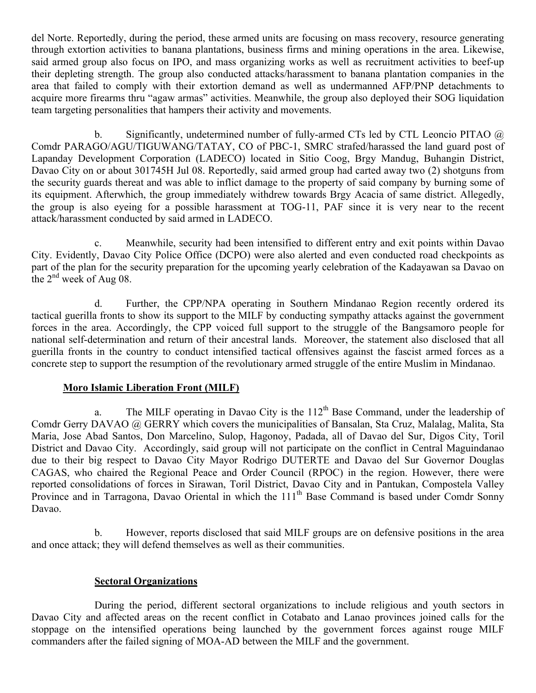del Norte. Reportedly, during the period, these armed units are focusing on mass recovery, resource generating through extortion activities to banana plantations, business firms and mining operations in the area. Likewise, said armed group also focus on IPO, and mass organizing works as well as recruitment activities to beef-up their depleting strength. The group also conducted attacks/harassment to banana plantation companies in the area that failed to comply with their extortion demand as well as undermanned AFP/PNP detachments to acquire more firearms thru "agaw armas" activities. Meanwhile, the group also deployed their SOG liquidation team targeting personalities that hampers their activity and movements.

b. Significantly, undetermined number of fully-armed CTs led by CTL Leoncio PITAO @ Comdr PARAGO/AGU/TIGUWANG/TATAY, CO of PBC-1, SMRC strafed/harassed the land guard post of Lapanday Development Corporation (LADECO) located in Sitio Coog, Brgy Mandug, Buhangin District, Davao City on or about 301745H Jul 08. Reportedly, said armed group had carted away two (2) shotguns from the security guards thereat and was able to inflict damage to the property of said company by burning some of its equipment. Afterwhich, the group immediately withdrew towards Brgy Acacia of same district. Allegedly, the group is also eyeing for a possible harassment at TOG-11, PAF since it is very near to the recent attack/harassment conducted by said armed in LADECO.

c. Meanwhile, security had been intensified to different entry and exit points within Davao City. Evidently, Davao City Police Office (DCPO) were also alerted and even conducted road checkpoints as part of the plan for the security preparation for the upcoming yearly celebration of the Kadayawan sa Davao on the  $2<sup>nd</sup>$  week of Aug 08.

d. Further, the CPP/NPA operating in Southern Mindanao Region recently ordered its tactical guerilla fronts to show its support to the MILF by conducting sympathy attacks against the government forces in the area. Accordingly, the CPP voiced full support to the struggle of the Bangsamoro people for national self-determination and return of their ancestral lands. Moreover, the statement also disclosed that all guerilla fronts in the country to conduct intensified tactical offensives against the fascist armed forces as a concrete step to support the resumption of the revolutionary armed struggle of the entire Muslim in Mindanao.

# **Moro Islamic Liberation Front (MILF)**

a. The MILF operating in Davao City is the  $112<sup>th</sup>$  Base Command, under the leadership of Comdr Gerry DAVAO @ GERRY which covers the municipalities of Bansalan, Sta Cruz, Malalag, Malita, Sta Maria, Jose Abad Santos, Don Marcelino, Sulop, Hagonoy, Padada, all of Davao del Sur, Digos City, Toril District and Davao City. Accordingly, said group will not participate on the conflict in Central Maguindanao due to their big respect to Davao City Mayor Rodrigo DUTERTE and Davao del Sur Governor Douglas CAGAS, who chaired the Regional Peace and Order Council (RPOC) in the region. However, there were reported consolidations of forces in Sirawan, Toril District, Davao City and in Pantukan, Compostela Valley Province and in Tarragona, Davao Oriental in which the 111<sup>th</sup> Base Command is based under Comdr Sonny Davao.

b. However, reports disclosed that said MILF groups are on defensive positions in the area and once attack; they will defend themselves as well as their communities.

# **Sectoral Organizations**

During the period, different sectoral organizations to include religious and youth sectors in Davao City and affected areas on the recent conflict in Cotabato and Lanao provinces joined calls for the stoppage on the intensified operations being launched by the government forces against rouge MILF commanders after the failed signing of MOA-AD between the MILF and the government.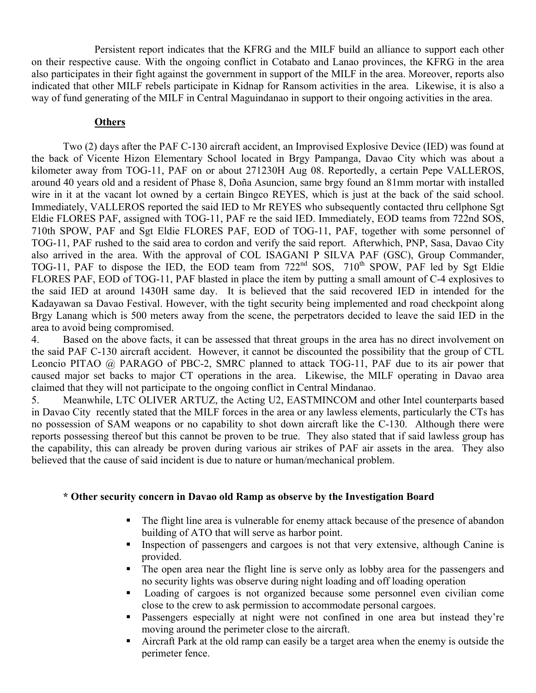Persistent report indicates that the KFRG and the MILF build an alliance to support each other on their respective cause. With the ongoing conflict in Cotabato and Lanao provinces, the KFRG in the area also participates in their fight against the government in support of the MILF in the area. Moreover, reports also indicated that other MILF rebels participate in Kidnap for Ransom activities in the area. Likewise, it is also a way of fund generating of the MILF in Central Maguindanao in support to their ongoing activities in the area.

# **Others**

Two (2) days after the PAF C-130 aircraft accident, an Improvised Explosive Device (IED) was found at the back of Vicente Hizon Elementary School located in Brgy Pampanga, Davao City which was about a kilometer away from TOG-11, PAF on or about 271230H Aug 08. Reportedly, a certain Pepe VALLEROS, around 40 years old and a resident of Phase 8, Doña Asuncion, same brgy found an 81mm mortar with installed wire in it at the vacant lot owned by a certain Bingco REYES, which is just at the back of the said school. Immediately, VALLEROS reported the said IED to Mr REYES who subsequently contacted thru cellphone Sgt Eldie FLORES PAF, assigned with TOG-11, PAF re the said IED. Immediately, EOD teams from 722nd SOS, 710th SPOW, PAF and Sgt Eldie FLORES PAF, EOD of TOG-11, PAF, together with some personnel of TOG-11, PAF rushed to the said area to cordon and verify the said report. Afterwhich, PNP, Sasa, Davao City also arrived in the area. With the approval of COL ISAGANI P SILVA PAF (GSC), Group Commander, TOG-11, PAF to dispose the IED, the EOD team from 722<sup>nd</sup> SOS, 710<sup>th</sup> SPOW, PAF led by Sgt Eldie FLORES PAF, EOD of TOG-11, PAF blasted in place the item by putting a small amount of C-4 explosives to the said IED at around 1430H same day. It is believed that the said recovered IED in intended for the Kadayawan sa Davao Festival. However, with the tight security being implemented and road checkpoint along Brgy Lanang which is 500 meters away from the scene, the perpetrators decided to leave the said IED in the area to avoid being compromised.

4. Based on the above facts, it can be assessed that threat groups in the area has no direct involvement on the said PAF C-130 aircraft accident. However, it cannot be discounted the possibility that the group of CTL Leoncio PITAO @ PARAGO of PBC-2, SMRC planned to attack TOG-11, PAF due to its air power that caused major set backs to major CT operations in the area. Likewise, the MILF operating in Davao area claimed that they will not participate to the ongoing conflict in Central Mindanao.

5. Meanwhile, LTC OLIVER ARTUZ, the Acting U2, EASTMINCOM and other Intel counterparts based in Davao City recently stated that the MILF forces in the area or any lawless elements, particularly the CTs has no possession of SAM weapons or no capability to shot down aircraft like the C-130. Although there were reports possessing thereof but this cannot be proven to be true. They also stated that if said lawless group has the capability, this can already be proven during various air strikes of PAF air assets in the area. They also believed that the cause of said incident is due to nature or human/mechanical problem.

## **\* Other security concern in Davao old Ramp as observe by the Investigation Board**

- The flight line area is vulnerable for enemy attack because of the presence of abandon building of ATO that will serve as harbor point.
- Inspection of passengers and cargoes is not that very extensive, although Canine is provided.
- The open area near the flight line is serve only as lobby area for the passengers and no security lights was observe during night loading and off loading operation
- Loading of cargoes is not organized because some personnel even civilian come close to the crew to ask permission to accommodate personal cargoes.
- Passengers especially at night were not confined in one area but instead they're moving around the perimeter close to the aircraft.
- Aircraft Park at the old ramp can easily be a target area when the enemy is outside the perimeter fence.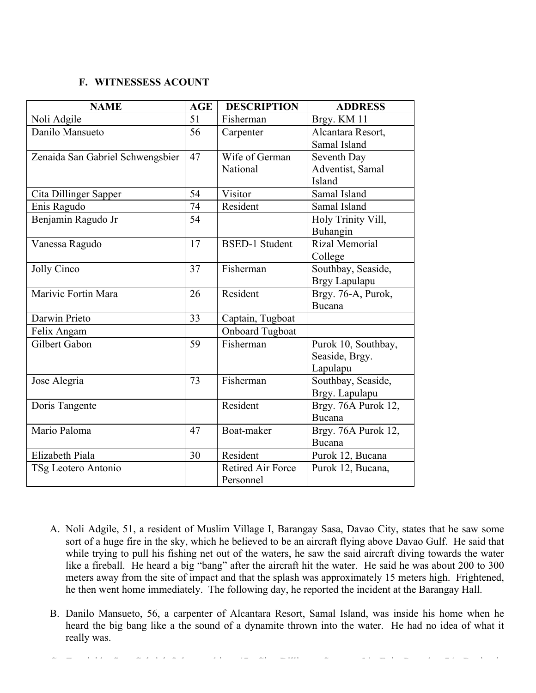## **F. WITNESSESS ACOUNT**

| <b>NAME</b>                      | <b>AGE</b> | <b>DESCRIPTION</b>       | <b>ADDRESS</b>      |
|----------------------------------|------------|--------------------------|---------------------|
| Noli Adgile                      | 51         | Fisherman                | Brgy. KM 11         |
| Danilo Mansueto                  | 56         | Carpenter                | Alcantara Resort,   |
|                                  |            |                          | Samal Island        |
| Zenaida San Gabriel Schwengsbier | 47         | Wife of German           | Seventh Day         |
|                                  |            | National                 | Adventist, Samal    |
|                                  |            |                          | Island              |
| Cita Dillinger Sapper            | 54         | Visitor                  | Samal Island        |
| Enis Ragudo                      | 74         | Resident                 | Samal Island        |
| Benjamin Ragudo Jr               | 54         |                          | Holy Trinity Vill,  |
|                                  |            |                          | Buhangin            |
| Vanessa Ragudo                   | 17         | <b>BSED-1 Student</b>    | Rizal Memorial      |
|                                  |            |                          | College             |
| Jolly Cinco                      | 37         | Fisherman                | Southbay, Seaside,  |
|                                  |            |                          | Brgy Lapulapu       |
| Marivic Fortin Mara              | 26         | Resident                 | Brgy. 76-A, Purok,  |
|                                  |            |                          | Bucana              |
| Darwin Prieto                    | 33         | Captain, Tugboat         |                     |
| Felix Angam                      |            | <b>Onboard Tugboat</b>   |                     |
| Gilbert Gabon                    | 59         | Fisherman                | Purok 10, Southbay, |
|                                  |            |                          | Seaside, Brgy.      |
|                                  |            |                          | Lapulapu            |
| Jose Alegria                     | 73         | Fisherman                | Southbay, Seaside,  |
|                                  |            |                          | Brgy. Lapulapu      |
| Doris Tangente                   |            | Resident                 | Brgy. 76A Purok 12, |
|                                  |            |                          | Bucana              |
| Mario Paloma                     | 47         | Boat-maker               | Brgy. 76A Purok 12, |
|                                  |            |                          | Bucana              |
| Elizabeth Piala                  | 30         | Resident                 | Purok 12, Bucana    |
| TSg Leotero Antonio              |            | <b>Retired Air Force</b> | Purok 12, Bucana,   |
|                                  |            | Personnel                |                     |

- A. Noli Adgile, 51, a resident of Muslim Village I, Barangay Sasa, Davao City, states that he saw some sort of a huge fire in the sky, which he believed to be an aircraft flying above Davao Gulf. He said that while trying to pull his fishing net out of the waters, he saw the said aircraft diving towards the water like a fireball. He heard a big "bang" after the aircraft hit the water. He said he was about 200 to 300 meters away from the site of impact and that the splash was approximately 15 meters high. Frightened, he then went home immediately. The following day, he reported the incident at the Barangay Hall.
- B. Danilo Mansueto, 56, a carpenter of Alcantara Resort, Samal Island, was inside his home when he heard the big bang like a the sound of a dynamite thrown into the water. He had no idea of what it really was.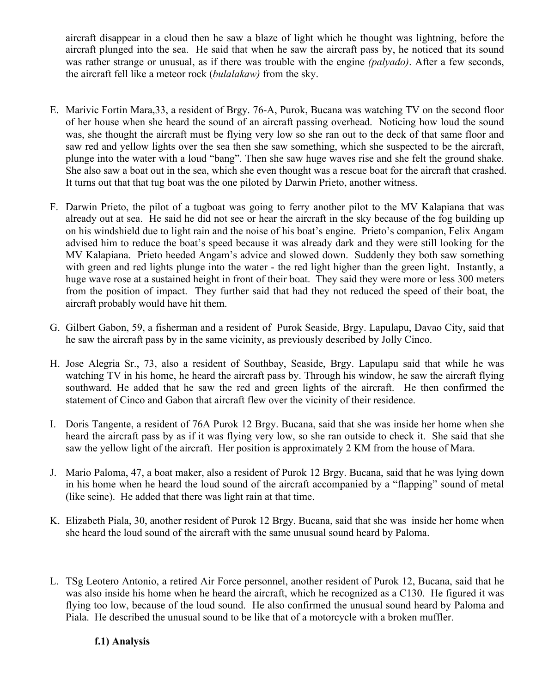aircraft disappear in a cloud then he saw a blaze of light which he thought was lightning, before the aircraft plunged into the sea. He said that when he saw the aircraft pass by, he noticed that its sound was rather strange or unusual, as if there was trouble with the engine *(palyado)*. After a few seconds, the aircraft fell like a meteor rock (*bulalakaw)* from the sky.

- E. Marivic Fortin Mara,33, a resident of Brgy. 76-A, Purok, Bucana was watching TV on the second floor of her house when she heard the sound of an aircraft passing overhead. Noticing how loud the sound was, she thought the aircraft must be flying very low so she ran out to the deck of that same floor and saw red and yellow lights over the sea then she saw something, which she suspected to be the aircraft, plunge into the water with a loud "bang". Then she saw huge waves rise and she felt the ground shake. She also saw a boat out in the sea, which she even thought was a rescue boat for the aircraft that crashed. It turns out that that tug boat was the one piloted by Darwin Prieto, another witness.
- F. Darwin Prieto, the pilot of a tugboat was going to ferry another pilot to the MV Kalapiana that was already out at sea. He said he did not see or hear the aircraft in the sky because of the fog building up on his windshield due to light rain and the noise of his boat's engine. Prieto's companion, Felix Angam advised him to reduce the boat's speed because it was already dark and they were still looking for the MV Kalapiana. Prieto heeded Angam's advice and slowed down. Suddenly they both saw something with green and red lights plunge into the water - the red light higher than the green light. Instantly, a huge wave rose at a sustained height in front of their boat. They said they were more or less 300 meters from the position of impact. They further said that had they not reduced the speed of their boat, the aircraft probably would have hit them.
- G. Gilbert Gabon, 59, a fisherman and a resident of Purok Seaside, Brgy. Lapulapu, Davao City, said that he saw the aircraft pass by in the same vicinity, as previously described by Jolly Cinco.
- H. Jose Alegria Sr., 73, also a resident of Southbay, Seaside, Brgy. Lapulapu said that while he was watching TV in his home, he heard the aircraft pass by. Through his window, he saw the aircraft flying southward. He added that he saw the red and green lights of the aircraft. He then confirmed the statement of Cinco and Gabon that aircraft flew over the vicinity of their residence.
- I. Doris Tangente, a resident of 76A Purok 12 Brgy. Bucana, said that she was inside her home when she heard the aircraft pass by as if it was flying very low, so she ran outside to check it. She said that she saw the yellow light of the aircraft. Her position is approximately 2 KM from the house of Mara.
- J. Mario Paloma, 47, a boat maker, also a resident of Purok 12 Brgy. Bucana, said that he was lying down in his home when he heard the loud sound of the aircraft accompanied by a "flapping" sound of metal (like seine). He added that there was light rain at that time.
- K. Elizabeth Piala, 30, another resident of Purok 12 Brgy. Bucana, said that she was inside her home when she heard the loud sound of the aircraft with the same unusual sound heard by Paloma.
- L. TSg Leotero Antonio, a retired Air Force personnel, another resident of Purok 12, Bucana, said that he was also inside his home when he heard the aircraft, which he recognized as a C130. He figured it was flying too low, because of the loud sound. He also confirmed the unusual sound heard by Paloma and Piala. He described the unusual sound to be like that of a motorcycle with a broken muffler.

# **f.1) Analysis**